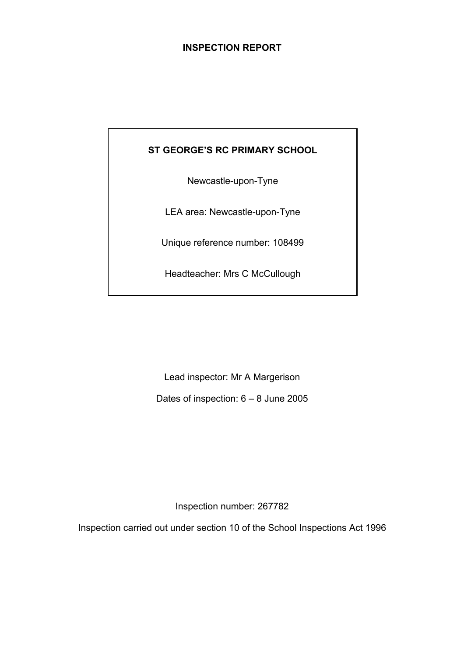# **INSPECTION REPORT**

# **ST GEORGE'S RC PRIMARY SCHOOL**

Newcastle-upon-Tyne

LEA area: Newcastle-upon-Tyne

Unique reference number: 108499

Headteacher: Mrs C McCullough

Lead inspector: Mr A Margerison

Dates of inspection: 6 – 8 June 2005

Inspection number: 267782

Inspection carried out under section 10 of the School Inspections Act 1996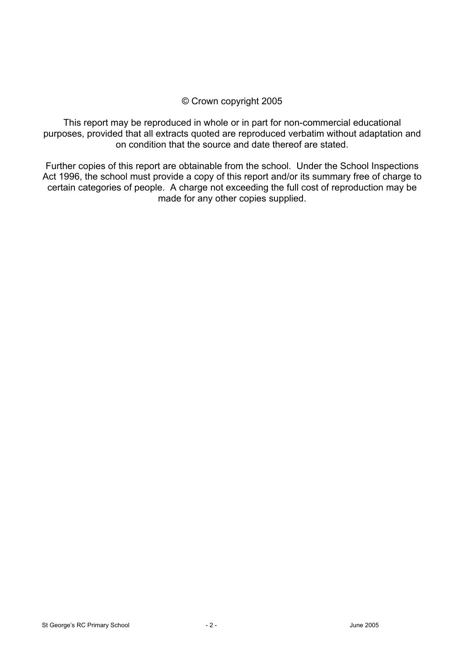# © Crown copyright 2005

This report may be reproduced in whole or in part for non-commercial educational purposes, provided that all extracts quoted are reproduced verbatim without adaptation and on condition that the source and date thereof are stated.

Further copies of this report are obtainable from the school. Under the School Inspections Act 1996, the school must provide a copy of this report and/or its summary free of charge to certain categories of people. A charge not exceeding the full cost of reproduction may be made for any other copies supplied.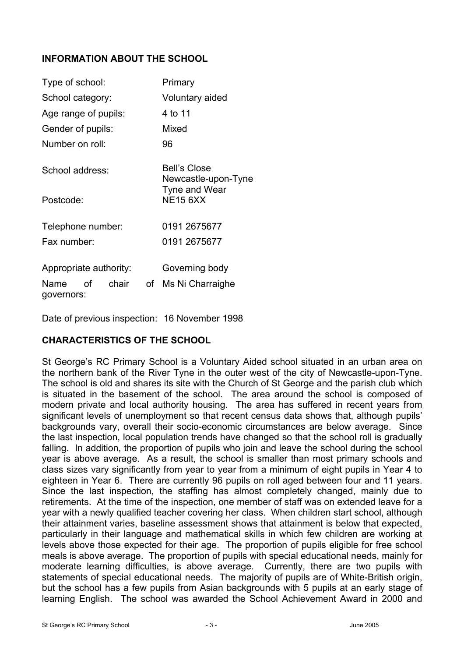# **INFORMATION ABOUT THE SCHOOL**

| Type of school:                   |    | Primary                                    |  |
|-----------------------------------|----|--------------------------------------------|--|
| School category:                  |    | Voluntary aided                            |  |
| Age range of pupils:              |    | 4 to 11                                    |  |
| Gender of pupils:                 |    | Mixed                                      |  |
| Number on roll:                   |    | 96                                         |  |
| School address:                   |    | <b>Bell's Close</b><br>Newcastle-upon-Tyne |  |
| Postcode:                         |    | Tyne and Wear<br><b>NE15 6XX</b>           |  |
| Telephone number:                 |    | 0191 2675677                               |  |
| Fax number:                       |    | 0191 2675677                               |  |
| Appropriate authority:            |    | Governing body                             |  |
| οf<br>chair<br>Name<br>governors: | of | Ms Ni Charraighe                           |  |

Date of previous inspection: 16 November 1998

# **CHARACTERISTICS OF THE SCHOOL**

St George's RC Primary School is a Voluntary Aided school situated in an urban area on the northern bank of the River Tyne in the outer west of the city of Newcastle-upon-Tyne. The school is old and shares its site with the Church of St George and the parish club which is situated in the basement of the school. The area around the school is composed of modern private and local authority housing. The area has suffered in recent years from significant levels of unemployment so that recent census data shows that, although pupils' backgrounds vary, overall their socio-economic circumstances are below average. Since the last inspection, local population trends have changed so that the school roll is gradually falling. In addition, the proportion of pupils who join and leave the school during the school year is above average. As a result, the school is smaller than most primary schools and class sizes vary significantly from year to year from a minimum of eight pupils in Year 4 to eighteen in Year 6. There are currently 96 pupils on roll aged between four and 11 years. Since the last inspection, the staffing has almost completely changed, mainly due to retirements. At the time of the inspection, one member of staff was on extended leave for a year with a newly qualified teacher covering her class. When children start school, although their attainment varies, baseline assessment shows that attainment is below that expected, particularly in their language and mathematical skills in which few children are working at levels above those expected for their age. The proportion of pupils eligible for free school meals is above average. The proportion of pupils with special educational needs, mainly for moderate learning difficulties, is above average. Currently, there are two pupils with statements of special educational needs. The majority of pupils are of White-British origin, but the school has a few pupils from Asian backgrounds with 5 pupils at an early stage of learning English. The school was awarded the School Achievement Award in 2000 and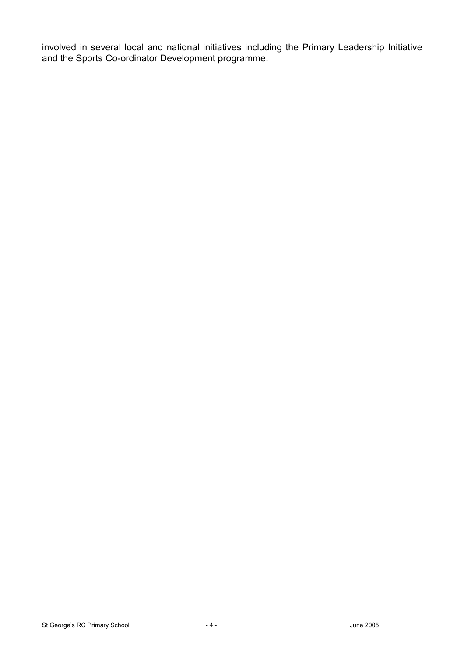involved in several local and national initiatives including the Primary Leadership Initiative and the Sports Co-ordinator Development programme.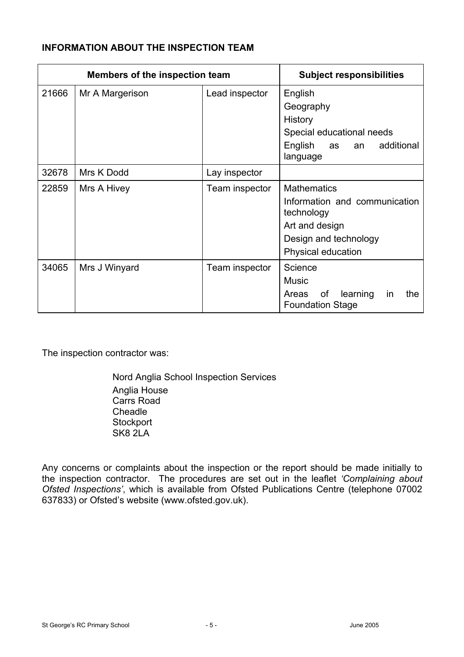# **INFORMATION ABOUT THE INSPECTION TEAM**

| Members of the inspection team |                 | <b>Subject responsibilities</b> |                                                                                                                                    |
|--------------------------------|-----------------|---------------------------------|------------------------------------------------------------------------------------------------------------------------------------|
| 21666                          | Mr A Margerison | Lead inspector                  | English<br>Geography<br>History<br>Special educational needs<br>English as<br>additional<br>an<br>language                         |
| 32678                          | Mrs K Dodd      | Lay inspector                   |                                                                                                                                    |
| 22859                          | Mrs A Hivey     | Team inspector                  | <b>Mathematics</b><br>Information and communication<br>technology<br>Art and design<br>Design and technology<br>Physical education |
| 34065                          | Mrs J Winyard   | Team inspector                  | Science<br><b>Music</b><br>of<br>learning<br>Areas<br>the<br><i>in</i><br><b>Foundation Stage</b>                                  |

The inspection contractor was:

Nord Anglia School Inspection Services Anglia House Carrs Road Cheadle **Stockport** SK8 2LA

Any concerns or complaints about the inspection or the report should be made initially to the inspection contractor. The procedures are set out in the leaflet *'Complaining about Ofsted Inspections'*, which is available from Ofsted Publications Centre (telephone 07002 637833) or Ofsted's website (www.ofsted.gov.uk).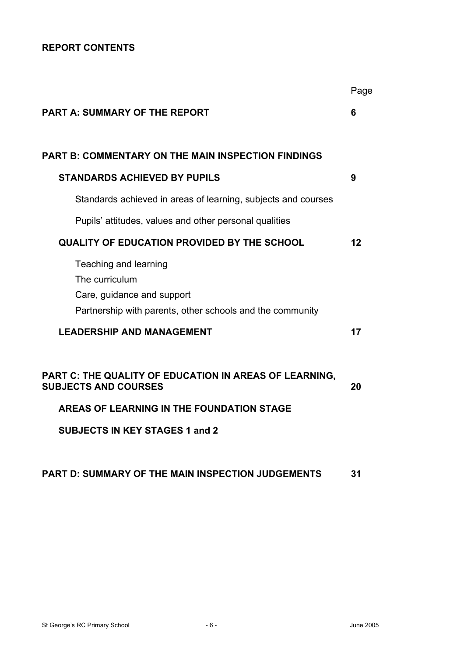# **REPORT CONTENTS**

|                                                                                                                                                                             | Page |
|-----------------------------------------------------------------------------------------------------------------------------------------------------------------------------|------|
| <b>PART A: SUMMARY OF THE REPORT</b>                                                                                                                                        | 6    |
| <b>PART B: COMMENTARY ON THE MAIN INSPECTION FINDINGS</b>                                                                                                                   |      |
| <b>STANDARDS ACHIEVED BY PUPILS</b>                                                                                                                                         | 9    |
| Standards achieved in areas of learning, subjects and courses                                                                                                               |      |
| Pupils' attitudes, values and other personal qualities                                                                                                                      |      |
| <b>QUALITY OF EDUCATION PROVIDED BY THE SCHOOL</b>                                                                                                                          | 12   |
| Teaching and learning<br>The curriculum<br>Care, guidance and support<br>Partnership with parents, other schools and the community                                          |      |
| <b>LEADERSHIP AND MANAGEMENT</b>                                                                                                                                            | 17   |
| PART C: THE QUALITY OF EDUCATION IN AREAS OF LEARNING,<br><b>SUBJECTS AND COURSES</b><br>AREAS OF LEARNING IN THE FOUNDATION STAGE<br><b>SUBJECTS IN KEY STAGES 1 and 2</b> | 20   |

# **PART D: SUMMARY OF THE MAIN INSPECTION JUDGEMENTS 31**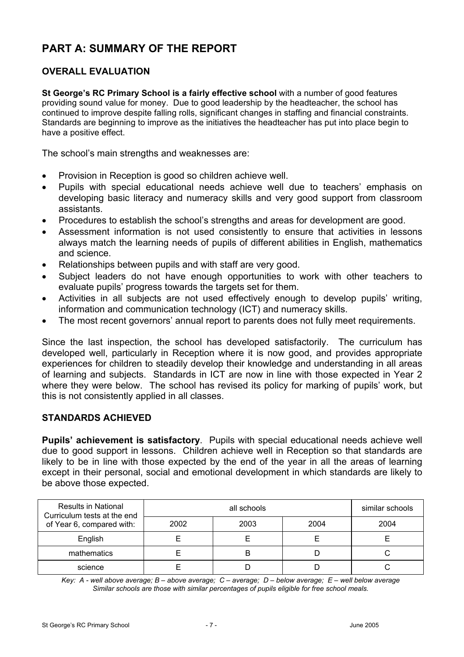# **PART A: SUMMARY OF THE REPORT**

# **OVERALL EVALUATION**

**St George's RC Primary School is a fairly effective school** with a number of good features providing sound value for money. Due to good leadership by the headteacher, the school has continued to improve despite falling rolls, significant changes in staffing and financial constraints. Standards are beginning to improve as the initiatives the headteacher has put into place begin to have a positive effect.

The school's main strengths and weaknesses are:

- Provision in Reception is good so children achieve well.
- Pupils with special educational needs achieve well due to teachers' emphasis on developing basic literacy and numeracy skills and very good support from classroom assistants.
- Procedures to establish the school's strengths and areas for development are good.
- Assessment information is not used consistently to ensure that activities in lessons always match the learning needs of pupils of different abilities in English, mathematics and science.
- Relationships between pupils and with staff are very good.
- Subject leaders do not have enough opportunities to work with other teachers to evaluate pupils' progress towards the targets set for them.
- Activities in all subjects are not used effectively enough to develop pupils' writing, information and communication technology (ICT) and numeracy skills.
- The most recent governors' annual report to parents does not fully meet requirements.

Since the last inspection, the school has developed satisfactorily. The curriculum has developed well, particularly in Reception where it is now good, and provides appropriate experiences for children to steadily develop their knowledge and understanding in all areas of learning and subjects. Standards in ICT are now in line with those expected in Year 2 where they were below. The school has revised its policy for marking of pupils' work, but this is not consistently applied in all classes.

## **STANDARDS ACHIEVED**

**Pupils' achievement is satisfactory**. Pupils with special educational needs achieve well due to good support in lessons. Children achieve well in Reception so that standards are likely to be in line with those expected by the end of the year in all the areas of learning except in their personal, social and emotional development in which standards are likely to be above those expected.

| <b>Results in National</b><br>Curriculum tests at the end |      | similar schools |      |      |
|-----------------------------------------------------------|------|-----------------|------|------|
| of Year 6, compared with:                                 | 2002 | 2003            | 2004 | 2004 |
| English                                                   |      |                 |      |      |
| mathematics                                               |      | B               |      |      |
| science                                                   |      |                 |      |      |

*Key: A - well above average; B – above average; C – average; D – below average; E – well below average Similar schools are those with similar percentages of pupils eligible for free school meals.*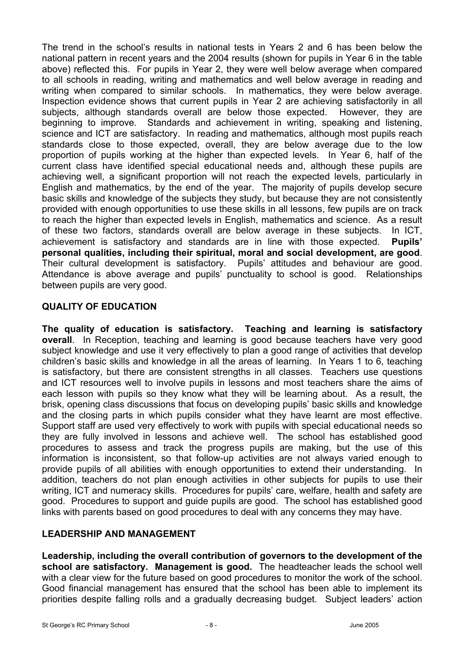The trend in the school's results in national tests in Years 2 and 6 has been below the national pattern in recent years and the 2004 results (shown for pupils in Year 6 in the table above) reflected this. For pupils in Year 2, they were well below average when compared to all schools in reading, writing and mathematics and well below average in reading and writing when compared to similar schools. In mathematics, they were below average. Inspection evidence shows that current pupils in Year 2 are achieving satisfactorily in all subjects, although standards overall are below those expected. However, they are beginning to improve. Standards and achievement in writing, speaking and listening, science and ICT are satisfactory. In reading and mathematics, although most pupils reach standards close to those expected, overall, they are below average due to the low proportion of pupils working at the higher than expected levels. In Year 6, half of the current class have identified special educational needs and, although these pupils are achieving well, a significant proportion will not reach the expected levels, particularly in English and mathematics, by the end of the year. The majority of pupils develop secure basic skills and knowledge of the subjects they study, but because they are not consistently provided with enough opportunities to use these skills in all lessons, few pupils are on track to reach the higher than expected levels in English, mathematics and science. As a result of these two factors, standards overall are below average in these subjects. In ICT, achievement is satisfactory and standards are in line with those expected. **Pupils' personal qualities, including their spiritual, moral and social development, are good**. Their cultural development is satisfactory. Pupils' attitudes and behaviour are good. Attendance is above average and pupils' punctuality to school is good. Relationships between pupils are very good.

# **QUALITY OF EDUCATION**

**The quality of education is satisfactory. Teaching and learning is satisfactory overall**. In Reception, teaching and learning is good because teachers have very good subject knowledge and use it very effectively to plan a good range of activities that develop children's basic skills and knowledge in all the areas of learning. In Years 1 to 6, teaching is satisfactory, but there are consistent strengths in all classes. Teachers use questions and ICT resources well to involve pupils in lessons and most teachers share the aims of each lesson with pupils so they know what they will be learning about. As a result, the brisk, opening class discussions that focus on developing pupils' basic skills and knowledge and the closing parts in which pupils consider what they have learnt are most effective. Support staff are used very effectively to work with pupils with special educational needs so they are fully involved in lessons and achieve well. The school has established good procedures to assess and track the progress pupils are making, but the use of this information is inconsistent, so that follow-up activities are not always varied enough to provide pupils of all abilities with enough opportunities to extend their understanding. In addition, teachers do not plan enough activities in other subjects for pupils to use their writing, ICT and numeracy skills. Procedures for pupils' care, welfare, health and safety are good. Procedures to support and guide pupils are good. The school has established good links with parents based on good procedures to deal with any concerns they may have.

# **LEADERSHIP AND MANAGEMENT**

**Leadership, including the overall contribution of governors to the development of the school are satisfactory. Management is good.** The headteacher leads the school well with a clear view for the future based on good procedures to monitor the work of the school. Good financial management has ensured that the school has been able to implement its priorities despite falling rolls and a gradually decreasing budget. Subject leaders' action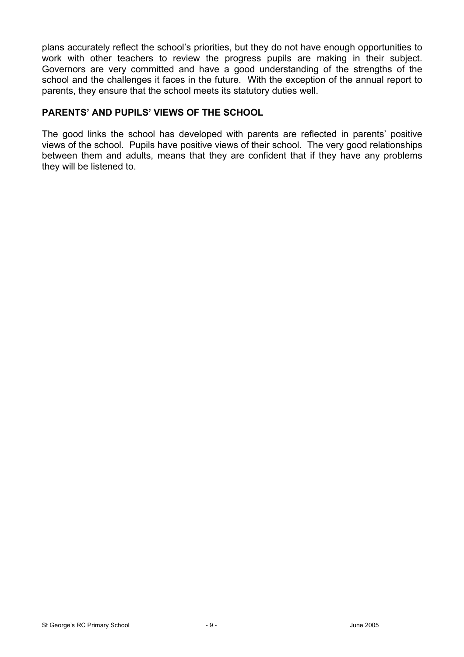plans accurately reflect the school's priorities, but they do not have enough opportunities to work with other teachers to review the progress pupils are making in their subject. Governors are very committed and have a good understanding of the strengths of the school and the challenges it faces in the future. With the exception of the annual report to parents, they ensure that the school meets its statutory duties well.

# **PARENTS' AND PUPILS' VIEWS OF THE SCHOOL**

The good links the school has developed with parents are reflected in parents' positive views of the school. Pupils have positive views of their school. The very good relationships between them and adults, means that they are confident that if they have any problems they will be listened to.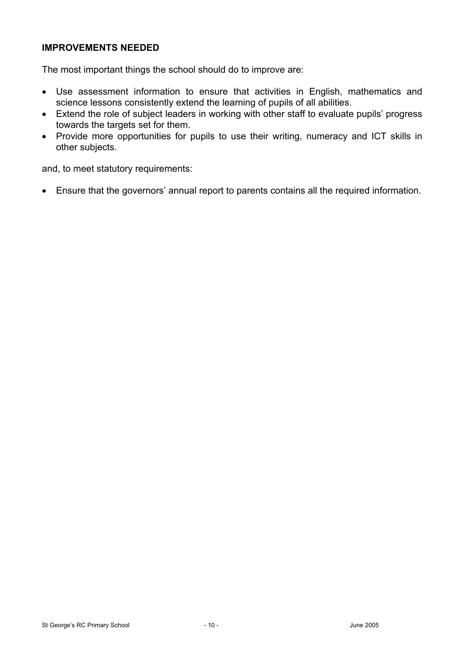## **IMPROVEMENTS NEEDED**

The most important things the school should do to improve are:

- Use assessment information to ensure that activities in English, mathematics and science lessons consistently extend the learning of pupils of all abilities.
- Extend the role of subject leaders in working with other staff to evaluate pupils' progress towards the targets set for them.
- Provide more opportunities for pupils to use their writing, numeracy and ICT skills in other subjects.

and, to meet statutory requirements:

• Ensure that the governors' annual report to parents contains all the required information.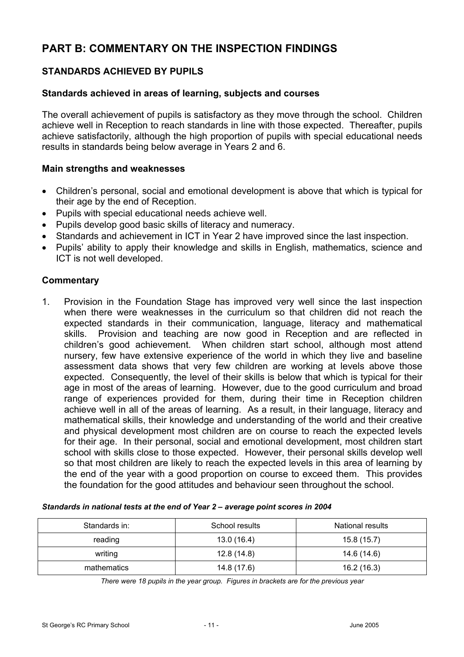# **PART B: COMMENTARY ON THE INSPECTION FINDINGS**

# **STANDARDS ACHIEVED BY PUPILS**

#### **Standards achieved in areas of learning, subjects and courses**

The overall achievement of pupils is satisfactory as they move through the school. Children achieve well in Reception to reach standards in line with those expected. Thereafter, pupils achieve satisfactorily, although the high proportion of pupils with special educational needs results in standards being below average in Years 2 and 6.

#### **Main strengths and weaknesses**

- Children's personal, social and emotional development is above that which is typical for their age by the end of Reception.
- Pupils with special educational needs achieve well.
- Pupils develop good basic skills of literacy and numeracy.
- Standards and achievement in ICT in Year 2 have improved since the last inspection.
- Pupils' ability to apply their knowledge and skills in English, mathematics, science and ICT is not well developed.

#### **Commentary**

1. Provision in the Foundation Stage has improved very well since the last inspection when there were weaknesses in the curriculum so that children did not reach the expected standards in their communication, language, literacy and mathematical skills. Provision and teaching are now good in Reception and are reflected in children's good achievement. When children start school, although most attend nursery, few have extensive experience of the world in which they live and baseline assessment data shows that very few children are working at levels above those expected. Consequently, the level of their skills is below that which is typical for their age in most of the areas of learning. However, due to the good curriculum and broad range of experiences provided for them, during their time in Reception children achieve well in all of the areas of learning. As a result, in their language, literacy and mathematical skills, their knowledge and understanding of the world and their creative and physical development most children are on course to reach the expected levels for their age. In their personal, social and emotional development, most children start school with skills close to those expected. However, their personal skills develop well so that most children are likely to reach the expected levels in this area of learning by the end of the year with a good proportion on course to exceed them. This provides the foundation for the good attitudes and behaviour seen throughout the school.

| Standards in: | School results | <b>National results</b> |
|---------------|----------------|-------------------------|
| reading       | 13.0 (16.4)    | 15.8(15.7)              |
| writing       | 12.8(14.8)     | 14.6 (14.6)             |
| mathematics   | 14.8 (17.6)    | 16.2(16.3)              |

#### *Standards in national tests at the end of Year 2 – average point scores in 2004*

*There were 18 pupils in the year group. Figures in brackets are for the previous year*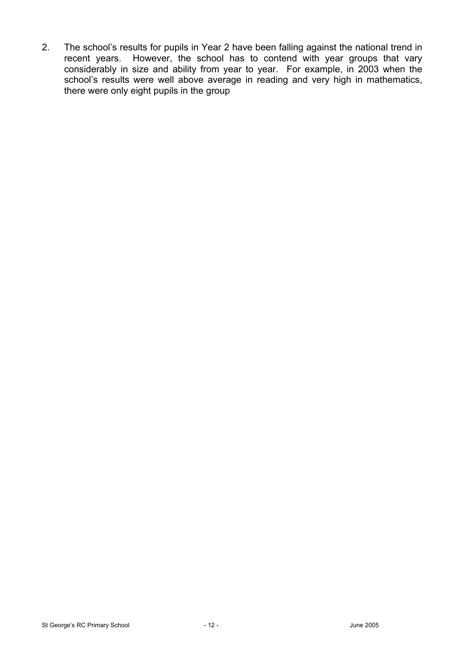2. The school's results for pupils in Year 2 have been falling against the national trend in recent years. However, the school has to contend with year groups that vary considerably in size and ability from year to year. For example, in 2003 when the school's results were well above average in reading and very high in mathematics, there were only eight pupils in the group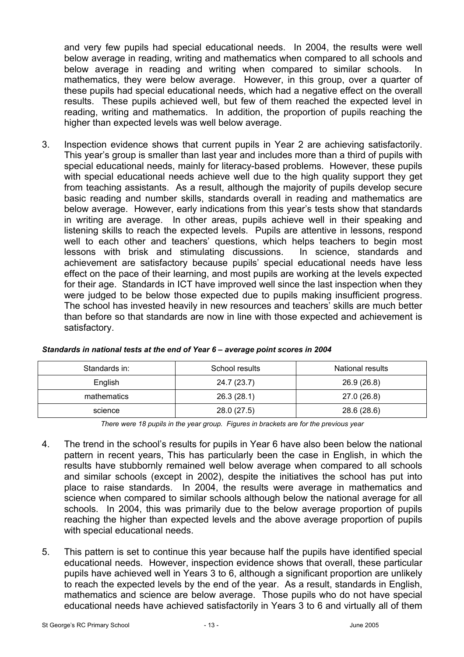and very few pupils had special educational needs. In 2004, the results were well below average in reading, writing and mathematics when compared to all schools and below average in reading and writing when compared to similar schools. In mathematics, they were below average. However, in this group, over a quarter of these pupils had special educational needs, which had a negative effect on the overall results. These pupils achieved well, but few of them reached the expected level in reading, writing and mathematics. In addition, the proportion of pupils reaching the higher than expected levels was well below average.

3. Inspection evidence shows that current pupils in Year 2 are achieving satisfactorily. This year's group is smaller than last year and includes more than a third of pupils with special educational needs, mainly for literacy-based problems. However, these pupils with special educational needs achieve well due to the high quality support they get from teaching assistants. As a result, although the majority of pupils develop secure basic reading and number skills, standards overall in reading and mathematics are below average. However, early indications from this year's tests show that standards in writing are average. In other areas, pupils achieve well in their speaking and listening skills to reach the expected levels. Pupils are attentive in lessons, respond well to each other and teachers' questions, which helps teachers to begin most lessons with brisk and stimulating discussions. In science, standards and achievement are satisfactory because pupils' special educational needs have less effect on the pace of their learning, and most pupils are working at the levels expected for their age. Standards in ICT have improved well since the last inspection when they were judged to be below those expected due to pupils making insufficient progress. The school has invested heavily in new resources and teachers' skills are much better than before so that standards are now in line with those expected and achievement is satisfactory.

| Standards in: | School results | National results |
|---------------|----------------|------------------|
| English       | 24.7 (23.7)    | 26.9 (26.8)      |
| mathematics   | 26.3(28.1)     | 27.0 (26.8)      |
| science       | 28.0 (27.5)    | 28.6 (28.6)      |

#### *Standards in national tests at the end of Year 6 – average point scores in 2004*

*There were 18 pupils in the year group. Figures in brackets are for the previous year* 

- 4. The trend in the school's results for pupils in Year 6 have also been below the national pattern in recent years, This has particularly been the case in English, in which the results have stubbornly remained well below average when compared to all schools and similar schools (except in 2002), despite the initiatives the school has put into place to raise standards. In 2004, the results were average in mathematics and science when compared to similar schools although below the national average for all schools. In 2004, this was primarily due to the below average proportion of pupils reaching the higher than expected levels and the above average proportion of pupils with special educational needs.
- 5. This pattern is set to continue this year because half the pupils have identified special educational needs. However, inspection evidence shows that overall, these particular pupils have achieved well in Years 3 to 6, although a significant proportion are unlikely to reach the expected levels by the end of the year. As a result, standards in English, mathematics and science are below average. Those pupils who do not have special educational needs have achieved satisfactorily in Years 3 to 6 and virtually all of them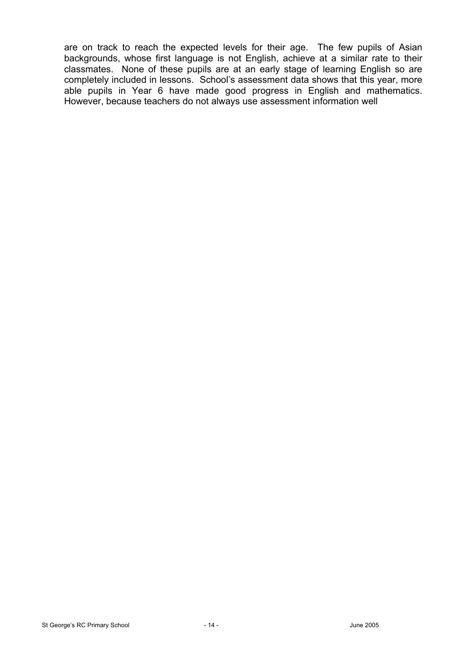are on track to reach the expected levels for their age. The few pupils of Asian backgrounds, whose first language is not English, achieve at a similar rate to their classmates. None of these pupils are at an early stage of learning English so are completely included in lessons. School's assessment data shows that this year, more able pupils in Year 6 have made good progress in English and mathematics. However, because teachers do not always use assessment information well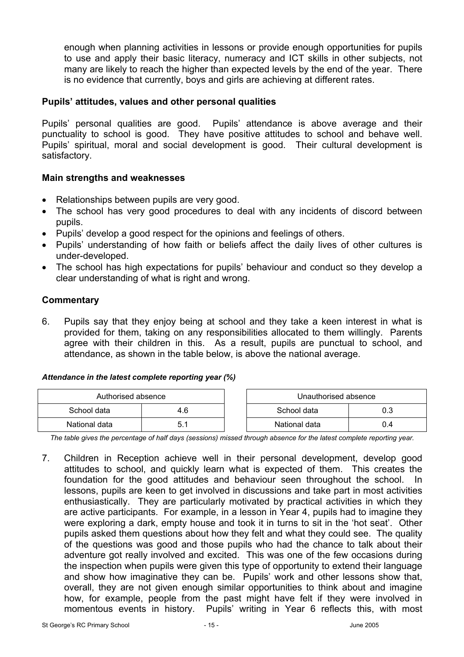enough when planning activities in lessons or provide enough opportunities for pupils to use and apply their basic literacy, numeracy and ICT skills in other subjects, not many are likely to reach the higher than expected levels by the end of the year. There is no evidence that currently, boys and girls are achieving at different rates.

## **Pupils' attitudes, values and other personal qualities**

Pupils' personal qualities are good. Pupils' attendance is above average and their punctuality to school is good. They have positive attitudes to school and behave well. Pupils' spiritual, moral and social development is good. Their cultural development is satisfactory.

#### **Main strengths and weaknesses**

- Relationships between pupils are very good.
- The school has very good procedures to deal with any incidents of discord between pupils.
- Pupils' develop a good respect for the opinions and feelings of others.
- Pupils' understanding of how faith or beliefs affect the daily lives of other cultures is under-developed.
- The school has high expectations for pupils' behaviour and conduct so they develop a clear understanding of what is right and wrong.

#### **Commentary**

6. Pupils say that they enjoy being at school and they take a keen interest in what is provided for them, taking on any responsibilities allocated to them willingly. Parents agree with their children in this. As a result, pupils are punctual to school, and attendance, as shown in the table below, is above the national average.

#### *Attendance in the latest complete reporting year (%)*

| Authorised absence |  | Unauthorised absence |     |
|--------------------|--|----------------------|-----|
| School data<br>4.6 |  | School data          | 0.3 |
| National data      |  | National data        | J.4 |

*The table gives the percentage of half days (sessions) missed through absence for the latest complete reporting year.*

7. Children in Reception achieve well in their personal development, develop good attitudes to school, and quickly learn what is expected of them. This creates the foundation for the good attitudes and behaviour seen throughout the school. In lessons, pupils are keen to get involved in discussions and take part in most activities enthusiastically. They are particularly motivated by practical activities in which they are active participants. For example, in a lesson in Year 4, pupils had to imagine they were exploring a dark, empty house and took it in turns to sit in the 'hot seat'. Other pupils asked them questions about how they felt and what they could see. The quality of the questions was good and those pupils who had the chance to talk about their adventure got really involved and excited. This was one of the few occasions during the inspection when pupils were given this type of opportunity to extend their language and show how imaginative they can be. Pupils' work and other lessons show that, overall, they are not given enough similar opportunities to think about and imagine how, for example, people from the past might have felt if they were involved in momentous events in history. Pupils' writing in Year 6 reflects this, with most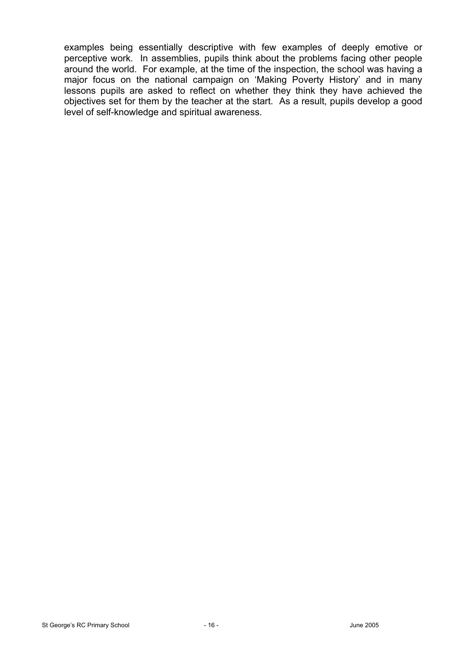examples being essentially descriptive with few examples of deeply emotive or perceptive work. In assemblies, pupils think about the problems facing other people around the world. For example, at the time of the inspection, the school was having a major focus on the national campaign on 'Making Poverty History' and in many lessons pupils are asked to reflect on whether they think they have achieved the objectives set for them by the teacher at the start. As a result, pupils develop a good level of self-knowledge and spiritual awareness.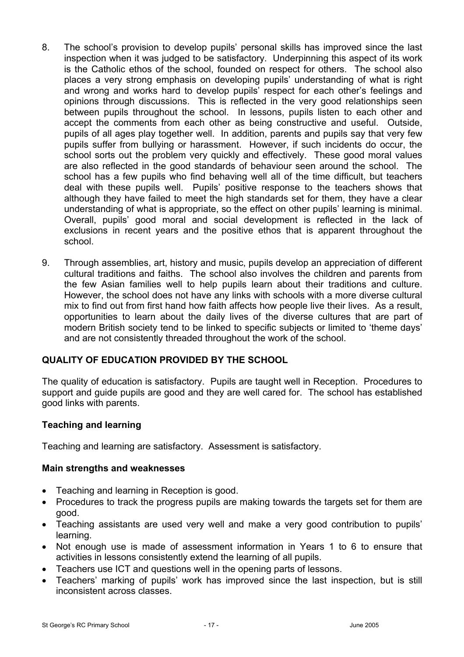- 8. The school's provision to develop pupils' personal skills has improved since the last inspection when it was judged to be satisfactory. Underpinning this aspect of its work is the Catholic ethos of the school, founded on respect for others. The school also places a very strong emphasis on developing pupils' understanding of what is right and wrong and works hard to develop pupils' respect for each other's feelings and opinions through discussions. This is reflected in the very good relationships seen between pupils throughout the school. In lessons, pupils listen to each other and accept the comments from each other as being constructive and useful. Outside, pupils of all ages play together well. In addition, parents and pupils say that very few pupils suffer from bullying or harassment. However, if such incidents do occur, the school sorts out the problem very quickly and effectively. These good moral values are also reflected in the good standards of behaviour seen around the school. The school has a few pupils who find behaving well all of the time difficult, but teachers deal with these pupils well. Pupils' positive response to the teachers shows that although they have failed to meet the high standards set for them, they have a clear understanding of what is appropriate, so the effect on other pupils' learning is minimal. Overall, pupils' good moral and social development is reflected in the lack of exclusions in recent years and the positive ethos that is apparent throughout the school.
- 9. Through assemblies, art, history and music, pupils develop an appreciation of different cultural traditions and faiths. The school also involves the children and parents from the few Asian families well to help pupils learn about their traditions and culture. However, the school does not have any links with schools with a more diverse cultural mix to find out from first hand how faith affects how people live their lives. As a result, opportunities to learn about the daily lives of the diverse cultures that are part of modern British society tend to be linked to specific subjects or limited to 'theme days' and are not consistently threaded throughout the work of the school.

# **QUALITY OF EDUCATION PROVIDED BY THE SCHOOL**

The quality of education is satisfactory. Pupils are taught well in Reception. Procedures to support and guide pupils are good and they are well cared for. The school has established good links with parents.

## **Teaching and learning**

Teaching and learning are satisfactory. Assessment is satisfactory.

## **Main strengths and weaknesses**

- Teaching and learning in Reception is good.
- Procedures to track the progress pupils are making towards the targets set for them are good.
- Teaching assistants are used very well and make a very good contribution to pupils' learning.
- Not enough use is made of assessment information in Years 1 to 6 to ensure that activities in lessons consistently extend the learning of all pupils.
- Teachers use ICT and questions well in the opening parts of lessons.
- Teachers' marking of pupils' work has improved since the last inspection, but is still inconsistent across classes.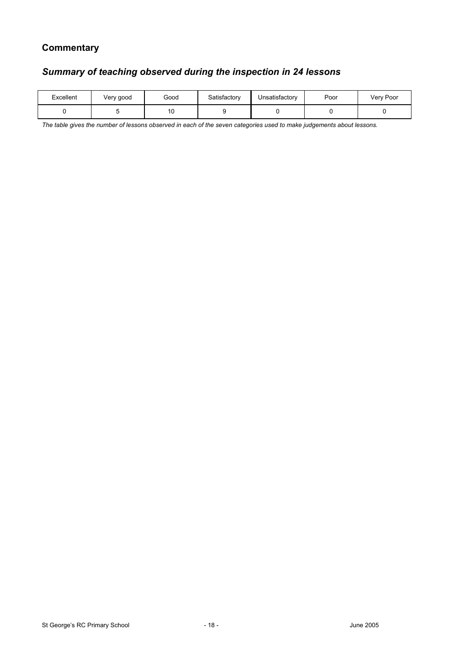# **Commentary**

## *Summary of teaching observed during the inspection in 24 lessons*

| Excellent | Very good | Good | Satisfactorv | Unsatisfactory | Poor | Very Poor |
|-----------|-----------|------|--------------|----------------|------|-----------|
|           |           | טו   |              |                |      |           |

*The table gives the number of lessons observed in each of the seven categories used to make judgements about lessons.*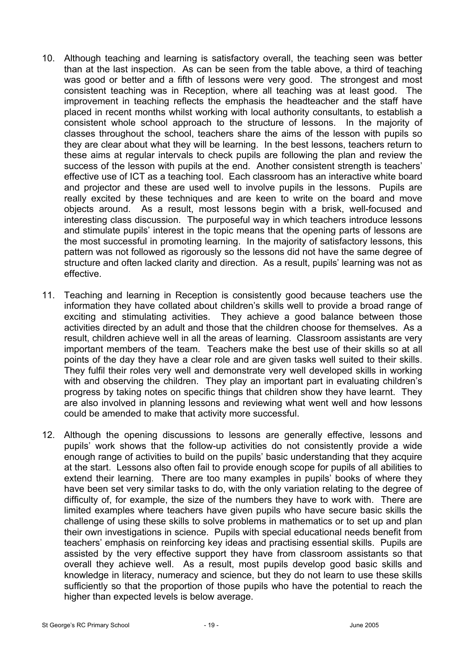- 10. Although teaching and learning is satisfactory overall, the teaching seen was better than at the last inspection. As can be seen from the table above, a third of teaching was good or better and a fifth of lessons were very good. The strongest and most consistent teaching was in Reception, where all teaching was at least good. The improvement in teaching reflects the emphasis the headteacher and the staff have placed in recent months whilst working with local authority consultants, to establish a consistent whole school approach to the structure of lessons. In the majority of classes throughout the school, teachers share the aims of the lesson with pupils so they are clear about what they will be learning. In the best lessons, teachers return to these aims at regular intervals to check pupils are following the plan and review the success of the lesson with pupils at the end. Another consistent strength is teachers' effective use of ICT as a teaching tool. Each classroom has an interactive white board and projector and these are used well to involve pupils in the lessons. Pupils are really excited by these techniques and are keen to write on the board and move objects around. As a result, most lessons begin with a brisk, well-focused and interesting class discussion. The purposeful way in which teachers introduce lessons and stimulate pupils' interest in the topic means that the opening parts of lessons are the most successful in promoting learning. In the majority of satisfactory lessons, this pattern was not followed as rigorously so the lessons did not have the same degree of structure and often lacked clarity and direction. As a result, pupils' learning was not as effective.
- 11. Teaching and learning in Reception is consistently good because teachers use the information they have collated about children's skills well to provide a broad range of exciting and stimulating activities. They achieve a good balance between those activities directed by an adult and those that the children choose for themselves. As a result, children achieve well in all the areas of learning. Classroom assistants are very important members of the team. Teachers make the best use of their skills so at all points of the day they have a clear role and are given tasks well suited to their skills. They fulfil their roles very well and demonstrate very well developed skills in working with and observing the children. They play an important part in evaluating children's progress by taking notes on specific things that children show they have learnt. They are also involved in planning lessons and reviewing what went well and how lessons could be amended to make that activity more successful.
- 12. Although the opening discussions to lessons are generally effective, lessons and pupils' work shows that the follow-up activities do not consistently provide a wide enough range of activities to build on the pupils' basic understanding that they acquire at the start. Lessons also often fail to provide enough scope for pupils of all abilities to extend their learning. There are too many examples in pupils' books of where they have been set very similar tasks to do, with the only variation relating to the degree of difficulty of, for example, the size of the numbers they have to work with. There are limited examples where teachers have given pupils who have secure basic skills the challenge of using these skills to solve problems in mathematics or to set up and plan their own investigations in science. Pupils with special educational needs benefit from teachers' emphasis on reinforcing key ideas and practising essential skills. Pupils are assisted by the very effective support they have from classroom assistants so that overall they achieve well. As a result, most pupils develop good basic skills and knowledge in literacy, numeracy and science, but they do not learn to use these skills sufficiently so that the proportion of those pupils who have the potential to reach the higher than expected levels is below average.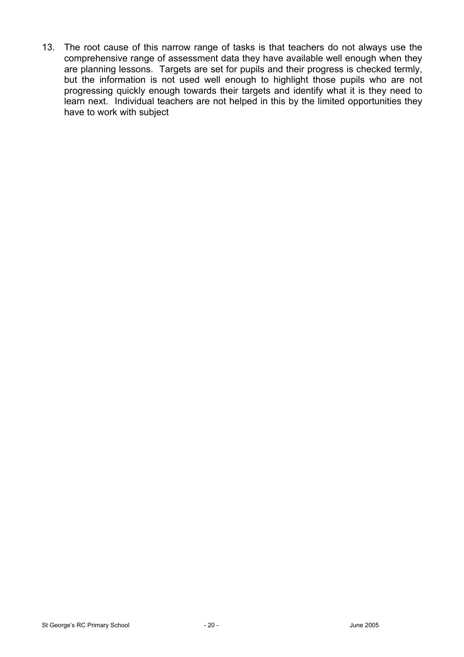13. The root cause of this narrow range of tasks is that teachers do not always use the comprehensive range of assessment data they have available well enough when they are planning lessons. Targets are set for pupils and their progress is checked termly, but the information is not used well enough to highlight those pupils who are not progressing quickly enough towards their targets and identify what it is they need to learn next. Individual teachers are not helped in this by the limited opportunities they have to work with subject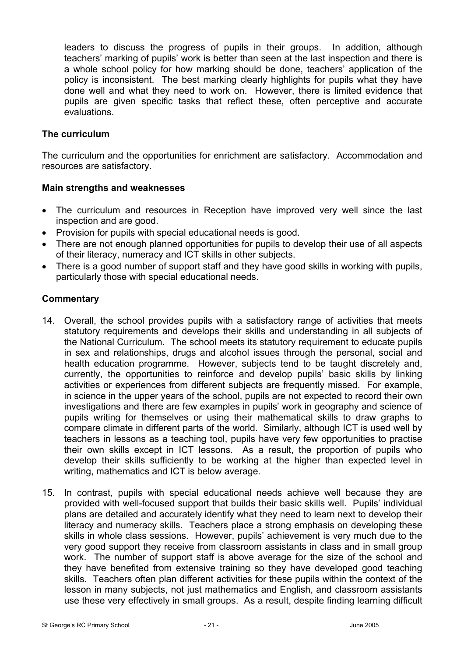leaders to discuss the progress of pupils in their groups. In addition, although teachers' marking of pupils' work is better than seen at the last inspection and there is a whole school policy for how marking should be done, teachers' application of the policy is inconsistent. The best marking clearly highlights for pupils what they have done well and what they need to work on. However, there is limited evidence that pupils are given specific tasks that reflect these, often perceptive and accurate evaluations.

## **The curriculum**

The curriculum and the opportunities for enrichment are satisfactory. Accommodation and resources are satisfactory.

## **Main strengths and weaknesses**

- The curriculum and resources in Reception have improved very well since the last inspection and are good.
- Provision for pupils with special educational needs is good.
- There are not enough planned opportunities for pupils to develop their use of all aspects of their literacy, numeracy and ICT skills in other subjects.
- There is a good number of support staff and they have good skills in working with pupils, particularly those with special educational needs.

# **Commentary**

- 14. Overall, the school provides pupils with a satisfactory range of activities that meets statutory requirements and develops their skills and understanding in all subjects of the National Curriculum. The school meets its statutory requirement to educate pupils in sex and relationships, drugs and alcohol issues through the personal, social and health education programme. However, subjects tend to be taught discretely and, currently, the opportunities to reinforce and develop pupils' basic skills by linking activities or experiences from different subjects are frequently missed. For example, in science in the upper years of the school, pupils are not expected to record their own investigations and there are few examples in pupils' work in geography and science of pupils writing for themselves or using their mathematical skills to draw graphs to compare climate in different parts of the world. Similarly, although ICT is used well by teachers in lessons as a teaching tool, pupils have very few opportunities to practise their own skills except in ICT lessons. As a result, the proportion of pupils who develop their skills sufficiently to be working at the higher than expected level in writing, mathematics and ICT is below average.
- 15. In contrast, pupils with special educational needs achieve well because they are provided with well-focused support that builds their basic skills well. Pupils' individual plans are detailed and accurately identify what they need to learn next to develop their literacy and numeracy skills. Teachers place a strong emphasis on developing these skills in whole class sessions. However, pupils' achievement is very much due to the very good support they receive from classroom assistants in class and in small group work. The number of support staff is above average for the size of the school and they have benefited from extensive training so they have developed good teaching skills. Teachers often plan different activities for these pupils within the context of the lesson in many subjects, not just mathematics and English, and classroom assistants use these very effectively in small groups. As a result, despite finding learning difficult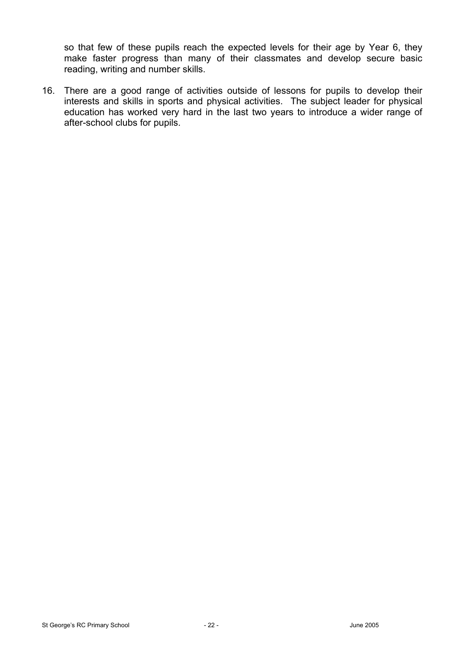so that few of these pupils reach the expected levels for their age by Year 6, they make faster progress than many of their classmates and develop secure basic reading, writing and number skills.

16. There are a good range of activities outside of lessons for pupils to develop their interests and skills in sports and physical activities. The subject leader for physical education has worked very hard in the last two years to introduce a wider range of after-school clubs for pupils.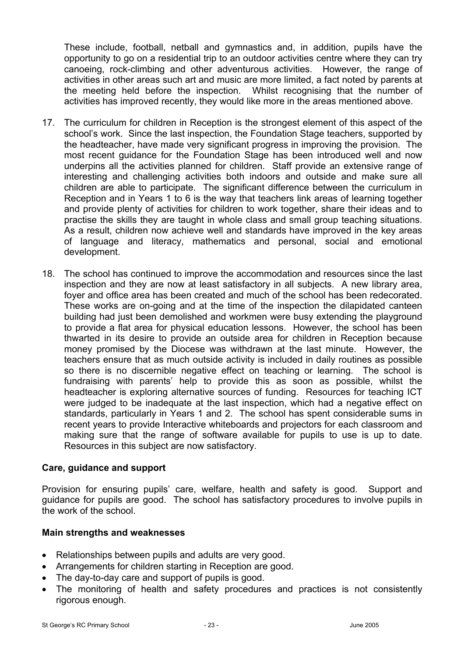These include, football, netball and gymnastics and, in addition, pupils have the opportunity to go on a residential trip to an outdoor activities centre where they can try canoeing, rock-climbing and other adventurous activities. However, the range of activities in other areas such art and music are more limited, a fact noted by parents at the meeting held before the inspection. Whilst recognising that the number of activities has improved recently, they would like more in the areas mentioned above.

- 17. The curriculum for children in Reception is the strongest element of this aspect of the school's work. Since the last inspection, the Foundation Stage teachers, supported by the headteacher, have made very significant progress in improving the provision. The most recent guidance for the Foundation Stage has been introduced well and now underpins all the activities planned for children. Staff provide an extensive range of interesting and challenging activities both indoors and outside and make sure all children are able to participate. The significant difference between the curriculum in Reception and in Years 1 to 6 is the way that teachers link areas of learning together and provide plenty of activities for children to work together, share their ideas and to practise the skills they are taught in whole class and small group teaching situations. As a result, children now achieve well and standards have improved in the key areas of language and literacy, mathematics and personal, social and emotional development.
- 18. The school has continued to improve the accommodation and resources since the last inspection and they are now at least satisfactory in all subjects. A new library area, foyer and office area has been created and much of the school has been redecorated. These works are on-going and at the time of the inspection the dilapidated canteen building had just been demolished and workmen were busy extending the playground to provide a flat area for physical education lessons. However, the school has been thwarted in its desire to provide an outside area for children in Reception because money promised by the Diocese was withdrawn at the last minute. However, the teachers ensure that as much outside activity is included in daily routines as possible so there is no discernible negative effect on teaching or learning. The school is fundraising with parents' help to provide this as soon as possible, whilst the headteacher is exploring alternative sources of funding. Resources for teaching ICT were judged to be inadequate at the last inspection, which had a negative effect on standards, particularly in Years 1 and 2. The school has spent considerable sums in recent years to provide Interactive whiteboards and projectors for each classroom and making sure that the range of software available for pupils to use is up to date. Resources in this subject are now satisfactory.

## **Care, guidance and support**

Provision for ensuring pupils' care, welfare, health and safety is good. Support and guidance for pupils are good. The school has satisfactory procedures to involve pupils in the work of the school.

## **Main strengths and weaknesses**

- Relationships between pupils and adults are very good.
- Arrangements for children starting in Reception are good.
- The day-to-day care and support of pupils is good.
- The monitoring of health and safety procedures and practices is not consistently rigorous enough.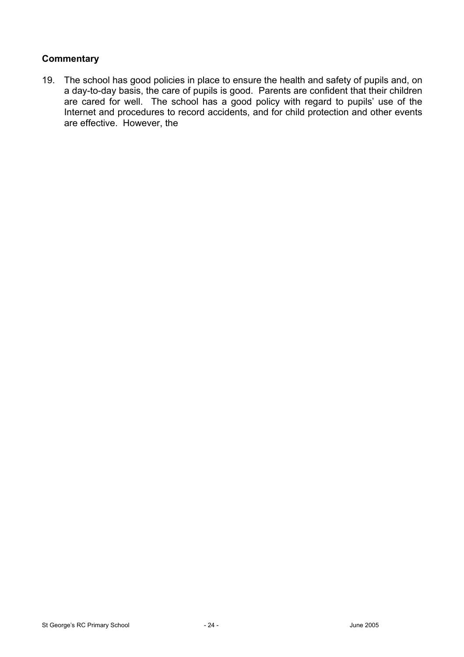# **Commentary**

19. The school has good policies in place to ensure the health and safety of pupils and, on a day-to-day basis, the care of pupils is good. Parents are confident that their children are cared for well. The school has a good policy with regard to pupils' use of the Internet and procedures to record accidents, and for child protection and other events are effective. However, the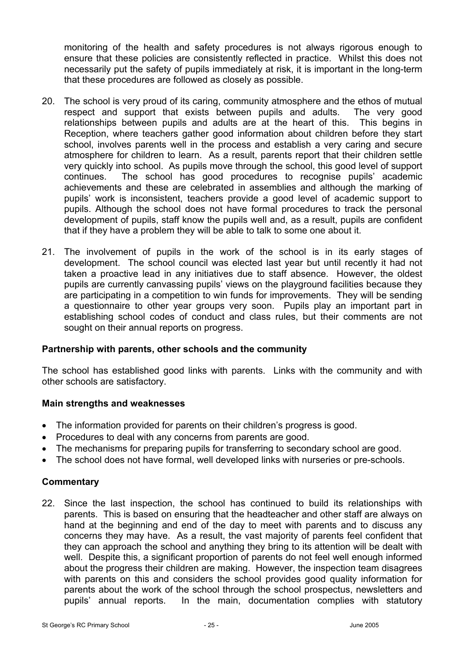monitoring of the health and safety procedures is not always rigorous enough to ensure that these policies are consistently reflected in practice. Whilst this does not necessarily put the safety of pupils immediately at risk, it is important in the long-term that these procedures are followed as closely as possible.

- 20. The school is very proud of its caring, community atmosphere and the ethos of mutual respect and support that exists between pupils and adults. The very good relationships between pupils and adults are at the heart of this. This begins in Reception, where teachers gather good information about children before they start school, involves parents well in the process and establish a very caring and secure atmosphere for children to learn. As a result, parents report that their children settle very quickly into school. As pupils move through the school, this good level of support continues. The school has good procedures to recognise pupils' academic achievements and these are celebrated in assemblies and although the marking of pupils' work is inconsistent, teachers provide a good level of academic support to pupils. Although the school does not have formal procedures to track the personal development of pupils, staff know the pupils well and, as a result, pupils are confident that if they have a problem they will be able to talk to some one about it.
- 21. The involvement of pupils in the work of the school is in its early stages of development. The school council was elected last year but until recently it had not taken a proactive lead in any initiatives due to staff absence. However, the oldest pupils are currently canvassing pupils' views on the playground facilities because they are participating in a competition to win funds for improvements. They will be sending a questionnaire to other year groups very soon. Pupils play an important part in establishing school codes of conduct and class rules, but their comments are not sought on their annual reports on progress.

## **Partnership with parents, other schools and the community**

The school has established good links with parents. Links with the community and with other schools are satisfactory.

#### **Main strengths and weaknesses**

- The information provided for parents on their children's progress is good.
- Procedures to deal with any concerns from parents are good.
- The mechanisms for preparing pupils for transferring to secondary school are good.
- The school does not have formal, well developed links with nurseries or pre-schools.

## **Commentary**

22. Since the last inspection, the school has continued to build its relationships with parents. This is based on ensuring that the headteacher and other staff are always on hand at the beginning and end of the day to meet with parents and to discuss any concerns they may have. As a result, the vast majority of parents feel confident that they can approach the school and anything they bring to its attention will be dealt with well. Despite this, a significant proportion of parents do not feel well enough informed about the progress their children are making. However, the inspection team disagrees with parents on this and considers the school provides good quality information for parents about the work of the school through the school prospectus, newsletters and pupils' annual reports. In the main, documentation complies with statutory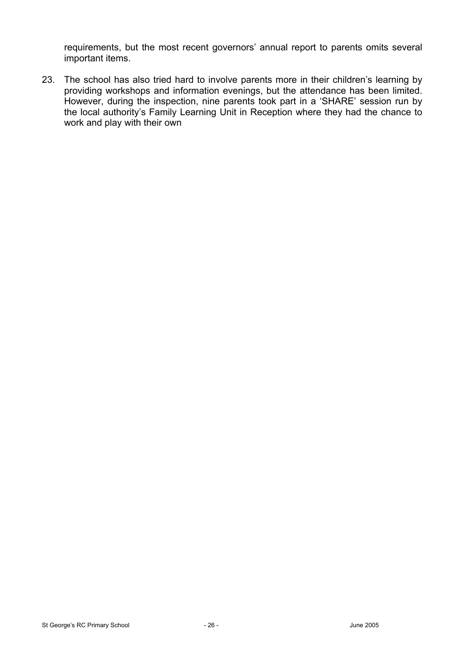requirements, but the most recent governors' annual report to parents omits several important items.

23. The school has also tried hard to involve parents more in their children's learning by providing workshops and information evenings, but the attendance has been limited. However, during the inspection, nine parents took part in a 'SHARE' session run by the local authority's Family Learning Unit in Reception where they had the chance to work and play with their own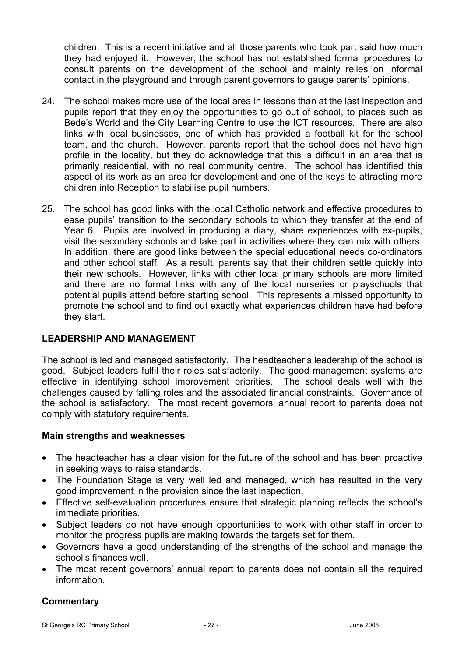children. This is a recent initiative and all those parents who took part said how much they had enjoyed it. However, the school has not established formal procedures to consult parents on the development of the school and mainly relies on informal contact in the playground and through parent governors to gauge parents' opinions.

- 24. The school makes more use of the local area in lessons than at the last inspection and pupils report that they enjoy the opportunities to go out of school, to places such as Bede's World and the City Learning Centre to use the ICT resources. There are also links with local businesses, one of which has provided a football kit for the school team, and the church. However, parents report that the school does not have high profile in the locality, but they do acknowledge that this is difficult in an area that is primarily residential, with no real community centre. The school has identified this aspect of its work as an area for development and one of the keys to attracting more children into Reception to stabilise pupil numbers.
- 25. The school has good links with the local Catholic network and effective procedures to ease pupils' transition to the secondary schools to which they transfer at the end of Year 6. Pupils are involved in producing a diary, share experiences with ex-pupils, visit the secondary schools and take part in activities where they can mix with others. In addition, there are good links between the special educational needs co-ordinators and other school staff. As a result, parents say that their children settle quickly into their new schools. However, links with other local primary schools are more limited and there are no formal links with any of the local nurseries or playschools that potential pupils attend before starting school. This represents a missed opportunity to promote the school and to find out exactly what experiences children have had before they start.

# **LEADERSHIP AND MANAGEMENT**

The school is led and managed satisfactorily. The headteacher's leadership of the school is good. Subject leaders fulfil their roles satisfactorily. The good management systems are effective in identifying school improvement priorities. The school deals well with the challenges caused by falling roles and the associated financial constraints. Governance of the school is satisfactory. The most recent governors' annual report to parents does not comply with statutory requirements.

## **Main strengths and weaknesses**

- The headteacher has a clear vision for the future of the school and has been proactive in seeking ways to raise standards.
- The Foundation Stage is very well led and managed, which has resulted in the very good improvement in the provision since the last inspection.
- Effective self-evaluation procedures ensure that strategic planning reflects the school's immediate priorities.
- Subject leaders do not have enough opportunities to work with other staff in order to monitor the progress pupils are making towards the targets set for them.
- Governors have a good understanding of the strengths of the school and manage the school's finances well.
- The most recent governors' annual report to parents does not contain all the required information.

## **Commentary**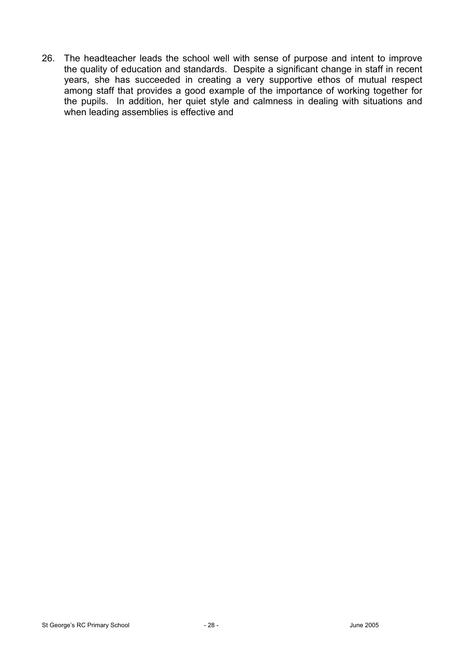26. The headteacher leads the school well with sense of purpose and intent to improve the quality of education and standards. Despite a significant change in staff in recent years, she has succeeded in creating a very supportive ethos of mutual respect among staff that provides a good example of the importance of working together for the pupils. In addition, her quiet style and calmness in dealing with situations and when leading assemblies is effective and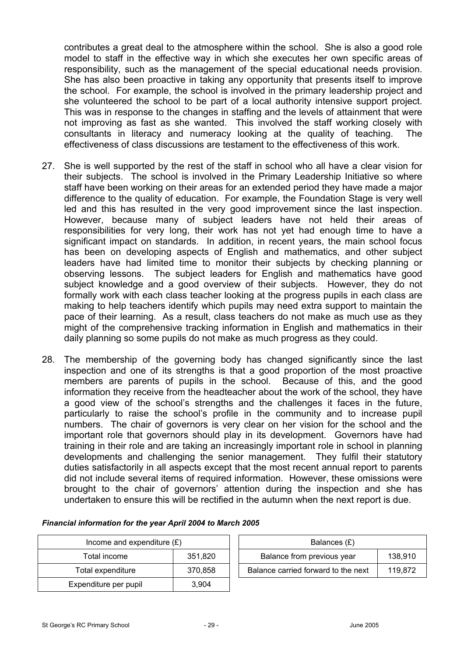contributes a great deal to the atmosphere within the school. She is also a good role model to staff in the effective way in which she executes her own specific areas of responsibility, such as the management of the special educational needs provision. She has also been proactive in taking any opportunity that presents itself to improve the school. For example, the school is involved in the primary leadership project and she volunteered the school to be part of a local authority intensive support project. This was in response to the changes in staffing and the levels of attainment that were not improving as fast as she wanted. This involved the staff working closely with consultants in literacy and numeracy looking at the quality of teaching. The effectiveness of class discussions are testament to the effectiveness of this work.

- 27. She is well supported by the rest of the staff in school who all have a clear vision for their subjects. The school is involved in the Primary Leadership Initiative so where staff have been working on their areas for an extended period they have made a major difference to the quality of education. For example, the Foundation Stage is very well led and this has resulted in the very good improvement since the last inspection. However, because many of subject leaders have not held their areas of responsibilities for very long, their work has not yet had enough time to have a significant impact on standards. In addition, in recent years, the main school focus has been on developing aspects of English and mathematics, and other subject leaders have had limited time to monitor their subjects by checking planning or observing lessons. The subject leaders for English and mathematics have good subject knowledge and a good overview of their subjects. However, they do not formally work with each class teacher looking at the progress pupils in each class are making to help teachers identify which pupils may need extra support to maintain the pace of their learning. As a result, class teachers do not make as much use as they might of the comprehensive tracking information in English and mathematics in their daily planning so some pupils do not make as much progress as they could.
- 28. The membership of the governing body has changed significantly since the last inspection and one of its strengths is that a good proportion of the most proactive members are parents of pupils in the school. Because of this, and the good information they receive from the headteacher about the work of the school, they have a good view of the school's strengths and the challenges it faces in the future, particularly to raise the school's profile in the community and to increase pupil numbers. The chair of governors is very clear on her vision for the school and the important role that governors should play in its development. Governors have had training in their role and are taking an increasingly important role in school in planning developments and challenging the senior management. They fulfil their statutory duties satisfactorily in all aspects except that the most recent annual report to parents did not include several items of required information. However, these omissions were brought to the chair of governors' attention during the inspection and she has undertaken to ensure this will be rectified in the autumn when the next report is due.

| Income and expenditure $(E)$ |         | Balances (£)                        |         |
|------------------------------|---------|-------------------------------------|---------|
| Total income                 | 351,820 | Balance from previous year          | 138,910 |
| Total expenditure            | 370,858 | Balance carried forward to the next | 119,872 |
| Expenditure per pupil        | 3.904   |                                     |         |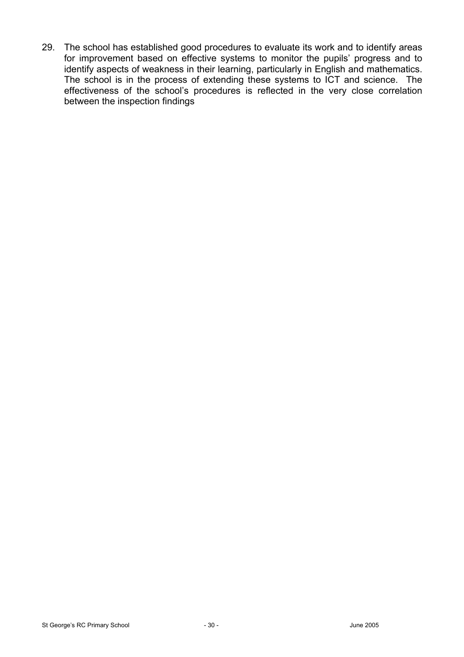29. The school has established good procedures to evaluate its work and to identify areas for improvement based on effective systems to monitor the pupils' progress and to identify aspects of weakness in their learning, particularly in English and mathematics. The school is in the process of extending these systems to ICT and science. The effectiveness of the school's procedures is reflected in the very close correlation between the inspection findings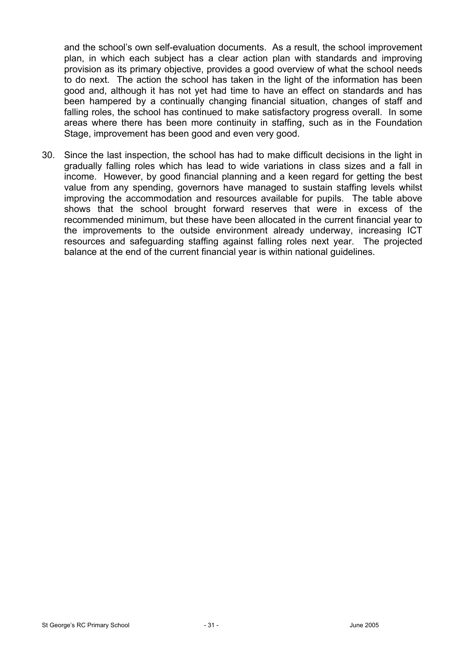and the school's own self-evaluation documents. As a result, the school improvement plan, in which each subject has a clear action plan with standards and improving provision as its primary objective, provides a good overview of what the school needs to do next. The action the school has taken in the light of the information has been good and, although it has not yet had time to have an effect on standards and has been hampered by a continually changing financial situation, changes of staff and falling roles, the school has continued to make satisfactory progress overall. In some areas where there has been more continuity in staffing, such as in the Foundation Stage, improvement has been good and even very good.

30. Since the last inspection, the school has had to make difficult decisions in the light in gradually falling roles which has lead to wide variations in class sizes and a fall in income. However, by good financial planning and a keen regard for getting the best value from any spending, governors have managed to sustain staffing levels whilst improving the accommodation and resources available for pupils. The table above shows that the school brought forward reserves that were in excess of the recommended minimum, but these have been allocated in the current financial year to the improvements to the outside environment already underway, increasing ICT resources and safeguarding staffing against falling roles next year. The projected balance at the end of the current financial year is within national guidelines.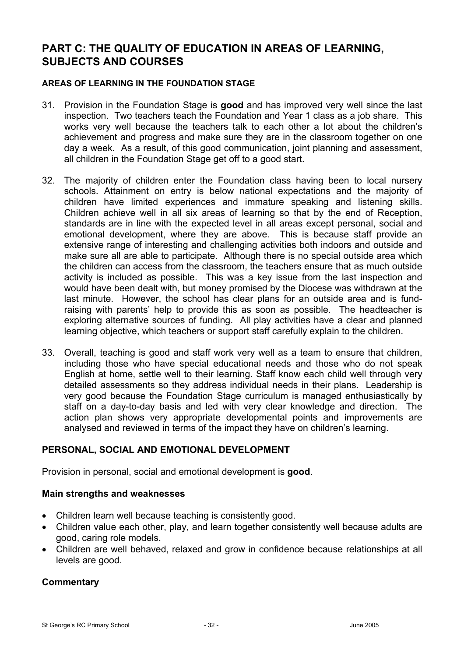# **PART C: THE QUALITY OF EDUCATION IN AREAS OF LEARNING, SUBJECTS AND COURSES**

#### **AREAS OF LEARNING IN THE FOUNDATION STAGE**

- 31. Provision in the Foundation Stage is **good** and has improved very well since the last inspection. Two teachers teach the Foundation and Year 1 class as a job share. This works very well because the teachers talk to each other a lot about the children's achievement and progress and make sure they are in the classroom together on one day a week. As a result, of this good communication, joint planning and assessment, all children in the Foundation Stage get off to a good start.
- 32. The majority of children enter the Foundation class having been to local nursery schools. Attainment on entry is below national expectations and the majority of children have limited experiences and immature speaking and listening skills. Children achieve well in all six areas of learning so that by the end of Reception, standards are in line with the expected level in all areas except personal, social and emotional development, where they are above. This is because staff provide an extensive range of interesting and challenging activities both indoors and outside and make sure all are able to participate. Although there is no special outside area which the children can access from the classroom, the teachers ensure that as much outside activity is included as possible. This was a key issue from the last inspection and would have been dealt with, but money promised by the Diocese was withdrawn at the last minute. However, the school has clear plans for an outside area and is fundraising with parents' help to provide this as soon as possible. The headteacher is exploring alternative sources of funding. All play activities have a clear and planned learning objective, which teachers or support staff carefully explain to the children.
- 33. Overall, teaching is good and staff work very well as a team to ensure that children, including those who have special educational needs and those who do not speak English at home, settle well to their learning. Staff know each child well through very detailed assessments so they address individual needs in their plans. Leadership is very good because the Foundation Stage curriculum is managed enthusiastically by staff on a day-to-day basis and led with very clear knowledge and direction. The action plan shows very appropriate developmental points and improvements are analysed and reviewed in terms of the impact they have on children's learning.

## **PERSONAL, SOCIAL AND EMOTIONAL DEVELOPMENT**

Provision in personal, social and emotional development is **good**.

#### **Main strengths and weaknesses**

- Children learn well because teaching is consistently good.
- Children value each other, play, and learn together consistently well because adults are good, caring role models.
- Children are well behaved, relaxed and grow in confidence because relationships at all levels are good.

## **Commentary**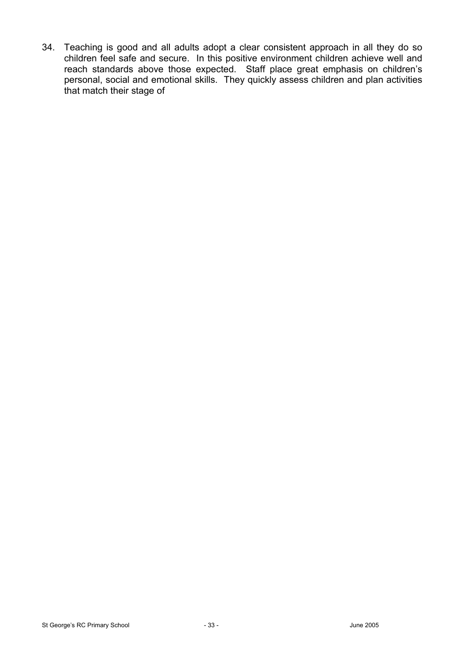34. Teaching is good and all adults adopt a clear consistent approach in all they do so children feel safe and secure. In this positive environment children achieve well and reach standards above those expected. Staff place great emphasis on children's personal, social and emotional skills. They quickly assess children and plan activities that match their stage of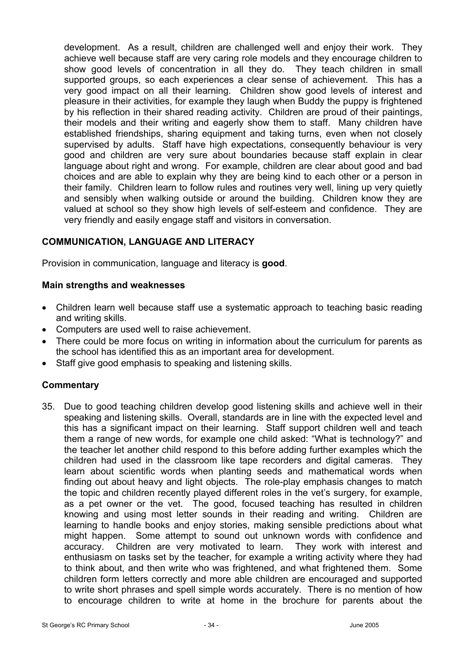development. As a result, children are challenged well and enjoy their work. They achieve well because staff are very caring role models and they encourage children to show good levels of concentration in all they do. They teach children in small supported groups, so each experiences a clear sense of achievement. This has a very good impact on all their learning. Children show good levels of interest and pleasure in their activities, for example they laugh when Buddy the puppy is frightened by his reflection in their shared reading activity. Children are proud of their paintings, their models and their writing and eagerly show them to staff. Many children have established friendships, sharing equipment and taking turns, even when not closely supervised by adults. Staff have high expectations, consequently behaviour is very good and children are very sure about boundaries because staff explain in clear language about right and wrong. For example, children are clear about good and bad choices and are able to explain why they are being kind to each other or a person in their family. Children learn to follow rules and routines very well, lining up very quietly and sensibly when walking outside or around the building. Children know they are valued at school so they show high levels of self-esteem and confidence. They are very friendly and easily engage staff and visitors in conversation.

# **COMMUNICATION, LANGUAGE AND LITERACY**

Provision in communication, language and literacy is **good**.

## **Main strengths and weaknesses**

- Children learn well because staff use a systematic approach to teaching basic reading and writing skills.
- Computers are used well to raise achievement.
- There could be more focus on writing in information about the curriculum for parents as the school has identified this as an important area for development.
- Staff give good emphasis to speaking and listening skills.

## **Commentary**

35. Due to good teaching children develop good listening skills and achieve well in their speaking and listening skills. Overall, standards are in line with the expected level and this has a significant impact on their learning. Staff support children well and teach them a range of new words, for example one child asked: "What is technology?" and the teacher let another child respond to this before adding further examples which the children had used in the classroom like tape recorders and digital cameras. They learn about scientific words when planting seeds and mathematical words when finding out about heavy and light objects. The role-play emphasis changes to match the topic and children recently played different roles in the vet's surgery, for example, as a pet owner or the vet. The good, focused teaching has resulted in children knowing and using most letter sounds in their reading and writing. Children are learning to handle books and enjoy stories, making sensible predictions about what might happen. Some attempt to sound out unknown words with confidence and accuracy. Children are very motivated to learn. They work with interest and enthusiasm on tasks set by the teacher, for example a writing activity where they had to think about, and then write who was frightened, and what frightened them. Some children form letters correctly and more able children are encouraged and supported to write short phrases and spell simple words accurately. There is no mention of how to encourage children to write at home in the brochure for parents about the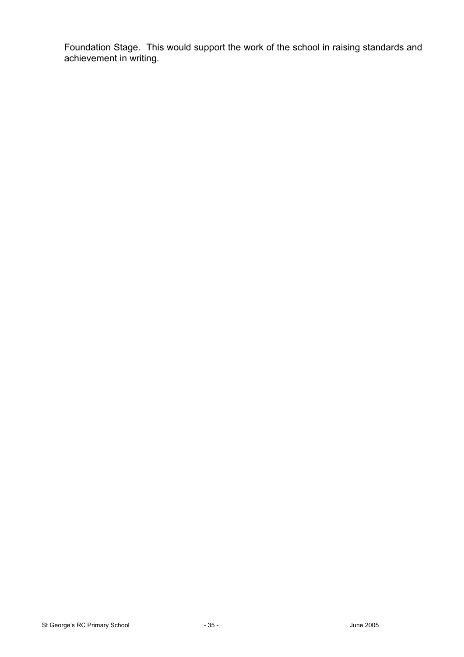Foundation Stage. This would support the work of the school in raising standards and achievement in writing.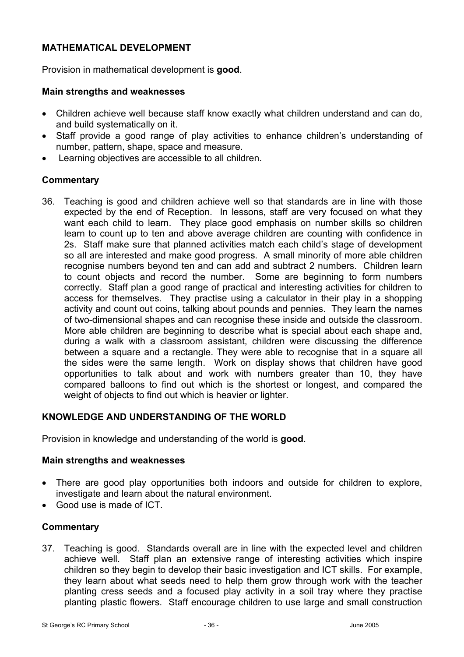# **MATHEMATICAL DEVELOPMENT**

Provision in mathematical development is **good**.

#### **Main strengths and weaknesses**

- Children achieve well because staff know exactly what children understand and can do, and build systematically on it.
- Staff provide a good range of play activities to enhance children's understanding of number, pattern, shape, space and measure.
- Learning objectives are accessible to all children.

#### **Commentary**

36. Teaching is good and children achieve well so that standards are in line with those expected by the end of Reception. In lessons, staff are very focused on what they want each child to learn. They place good emphasis on number skills so children learn to count up to ten and above average children are counting with confidence in 2s. Staff make sure that planned activities match each child's stage of development so all are interested and make good progress. A small minority of more able children recognise numbers beyond ten and can add and subtract 2 numbers. Children learn to count objects and record the number. Some are beginning to form numbers correctly. Staff plan a good range of practical and interesting activities for children to access for themselves. They practise using a calculator in their play in a shopping activity and count out coins, talking about pounds and pennies. They learn the names of two-dimensional shapes and can recognise these inside and outside the classroom. More able children are beginning to describe what is special about each shape and, during a walk with a classroom assistant, children were discussing the difference between a square and a rectangle. They were able to recognise that in a square all the sides were the same length. Work on display shows that children have good opportunities to talk about and work with numbers greater than 10, they have compared balloons to find out which is the shortest or longest, and compared the weight of objects to find out which is heavier or lighter.

## **KNOWLEDGE AND UNDERSTANDING OF THE WORLD**

Provision in knowledge and understanding of the world is **good**.

#### **Main strengths and weaknesses**

- There are good play opportunities both indoors and outside for children to explore, investigate and learn about the natural environment.
- Good use is made of ICT.

## **Commentary**

37. Teaching is good. Standards overall are in line with the expected level and children achieve well. Staff plan an extensive range of interesting activities which inspire children so they begin to develop their basic investigation and ICT skills. For example, they learn about what seeds need to help them grow through work with the teacher planting cress seeds and a focused play activity in a soil tray where they practise planting plastic flowers. Staff encourage children to use large and small construction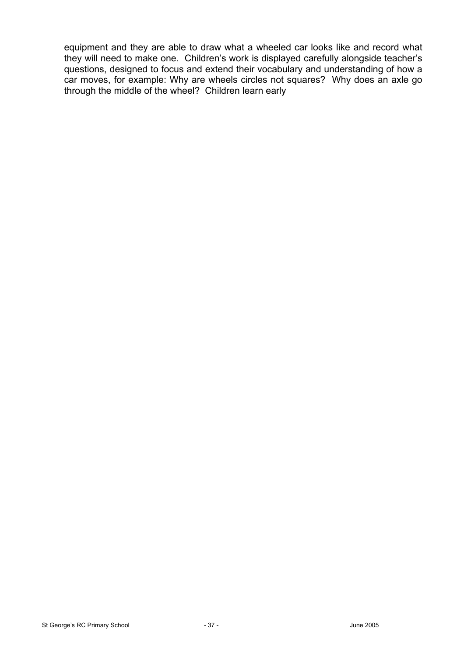equipment and they are able to draw what a wheeled car looks like and record what they will need to make one. Children's work is displayed carefully alongside teacher's questions, designed to focus and extend their vocabulary and understanding of how a car moves, for example: Why are wheels circles not squares? Why does an axle go through the middle of the wheel? Children learn early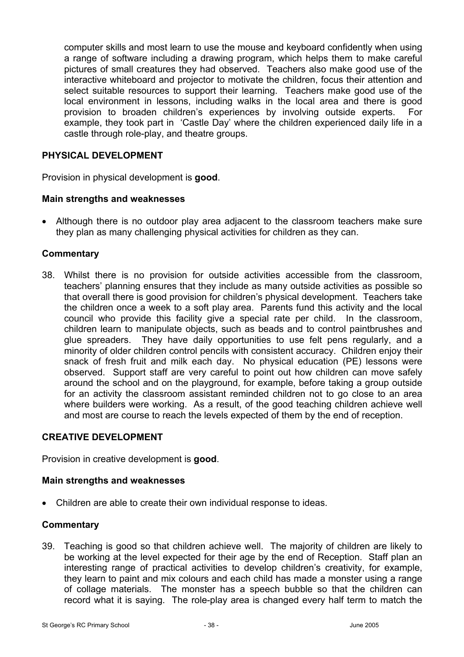computer skills and most learn to use the mouse and keyboard confidently when using a range of software including a drawing program, which helps them to make careful pictures of small creatures they had observed. Teachers also make good use of the interactive whiteboard and projector to motivate the children, focus their attention and select suitable resources to support their learning. Teachers make good use of the local environment in lessons, including walks in the local area and there is good provision to broaden children's experiences by involving outside experts. For example, they took part in 'Castle Day' where the children experienced daily life in a castle through role-play, and theatre groups.

## **PHYSICAL DEVELOPMENT**

Provision in physical development is **good**.

## **Main strengths and weaknesses**

• Although there is no outdoor play area adjacent to the classroom teachers make sure they plan as many challenging physical activities for children as they can.

## **Commentary**

38. Whilst there is no provision for outside activities accessible from the classroom, teachers' planning ensures that they include as many outside activities as possible so that overall there is good provision for children's physical development. Teachers take the children once a week to a soft play area. Parents fund this activity and the local council who provide this facility give a special rate per child. In the classroom, children learn to manipulate objects, such as beads and to control paintbrushes and glue spreaders. They have daily opportunities to use felt pens regularly, and a minority of older children control pencils with consistent accuracy. Children enjoy their snack of fresh fruit and milk each day. No physical education (PE) lessons were observed. Support staff are very careful to point out how children can move safely around the school and on the playground, for example, before taking a group outside for an activity the classroom assistant reminded children not to go close to an area where builders were working. As a result, of the good teaching children achieve well and most are course to reach the levels expected of them by the end of reception.

## **CREATIVE DEVELOPMENT**

Provision in creative development is **good**.

#### **Main strengths and weaknesses**

• Children are able to create their own individual response to ideas.

#### **Commentary**

39. Teaching is good so that children achieve well. The majority of children are likely to be working at the level expected for their age by the end of Reception. Staff plan an interesting range of practical activities to develop children's creativity, for example, they learn to paint and mix colours and each child has made a monster using a range of collage materials. The monster has a speech bubble so that the children can record what it is saying. The role-play area is changed every half term to match the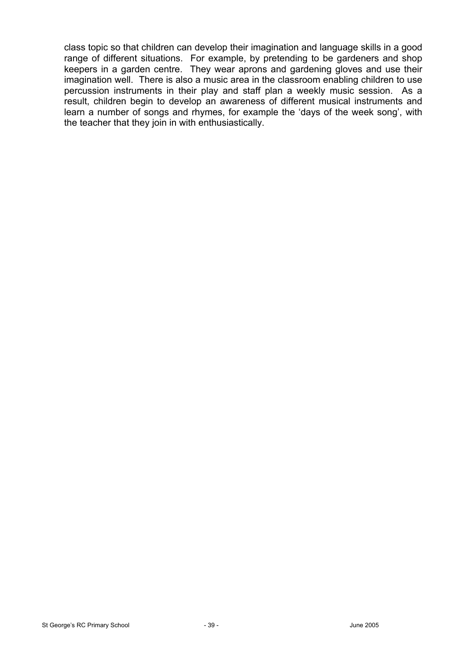class topic so that children can develop their imagination and language skills in a good range of different situations. For example, by pretending to be gardeners and shop keepers in a garden centre. They wear aprons and gardening gloves and use their imagination well. There is also a music area in the classroom enabling children to use percussion instruments in their play and staff plan a weekly music session. As a result, children begin to develop an awareness of different musical instruments and learn a number of songs and rhymes, for example the 'days of the week song', with the teacher that they join in with enthusiastically.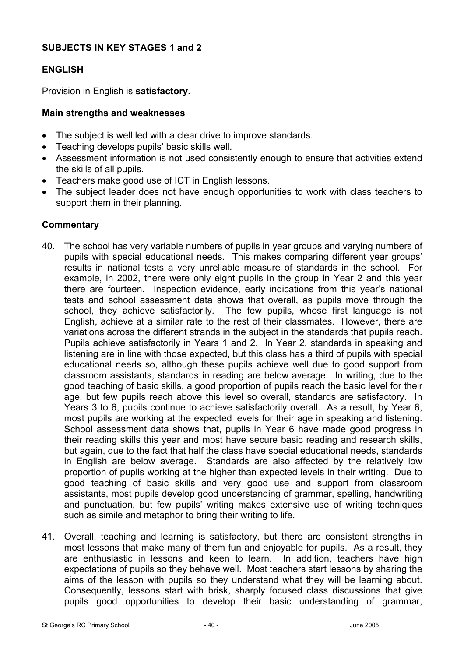## **SUBJECTS IN KEY STAGES 1 and 2**

# **ENGLISH**

Provision in English is **satisfactory.**

## **Main strengths and weaknesses**

- The subject is well led with a clear drive to improve standards.
- Teaching develops pupils' basic skills well.
- Assessment information is not used consistently enough to ensure that activities extend the skills of all pupils.
- Teachers make good use of ICT in English lessons.
- The subject leader does not have enough opportunities to work with class teachers to support them in their planning.

## **Commentary**

- 40. The school has very variable numbers of pupils in year groups and varying numbers of pupils with special educational needs. This makes comparing different year groups' results in national tests a very unreliable measure of standards in the school. For example, in 2002, there were only eight pupils in the group in Year 2 and this year there are fourteen. Inspection evidence, early indications from this year's national tests and school assessment data shows that overall, as pupils move through the school, they achieve satisfactorily. The few pupils, whose first language is not English, achieve at a similar rate to the rest of their classmates. However, there are variations across the different strands in the subject in the standards that pupils reach. Pupils achieve satisfactorily in Years 1 and 2. In Year 2, standards in speaking and listening are in line with those expected, but this class has a third of pupils with special educational needs so, although these pupils achieve well due to good support from classroom assistants, standards in reading are below average. In writing, due to the good teaching of basic skills, a good proportion of pupils reach the basic level for their age, but few pupils reach above this level so overall, standards are satisfactory. In Years 3 to 6, pupils continue to achieve satisfactorily overall. As a result, by Year 6, most pupils are working at the expected levels for their age in speaking and listening. School assessment data shows that, pupils in Year 6 have made good progress in their reading skills this year and most have secure basic reading and research skills, but again, due to the fact that half the class have special educational needs, standards in English are below average. Standards are also affected by the relatively low proportion of pupils working at the higher than expected levels in their writing. Due to good teaching of basic skills and very good use and support from classroom assistants, most pupils develop good understanding of grammar, spelling, handwriting and punctuation, but few pupils' writing makes extensive use of writing techniques such as simile and metaphor to bring their writing to life.
- 41. Overall, teaching and learning is satisfactory, but there are consistent strengths in most lessons that make many of them fun and enjoyable for pupils. As a result, they are enthusiastic in lessons and keen to learn. In addition, teachers have high expectations of pupils so they behave well. Most teachers start lessons by sharing the aims of the lesson with pupils so they understand what they will be learning about. Consequently, lessons start with brisk, sharply focused class discussions that give pupils good opportunities to develop their basic understanding of grammar,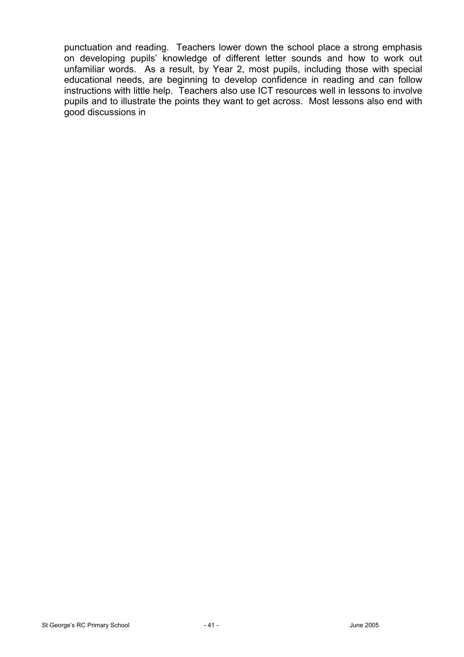punctuation and reading. Teachers lower down the school place a strong emphasis on developing pupils' knowledge of different letter sounds and how to work out unfamiliar words. As a result, by Year 2, most pupils, including those with special educational needs, are beginning to develop confidence in reading and can follow instructions with little help. Teachers also use ICT resources well in lessons to involve pupils and to illustrate the points they want to get across. Most lessons also end with good discussions in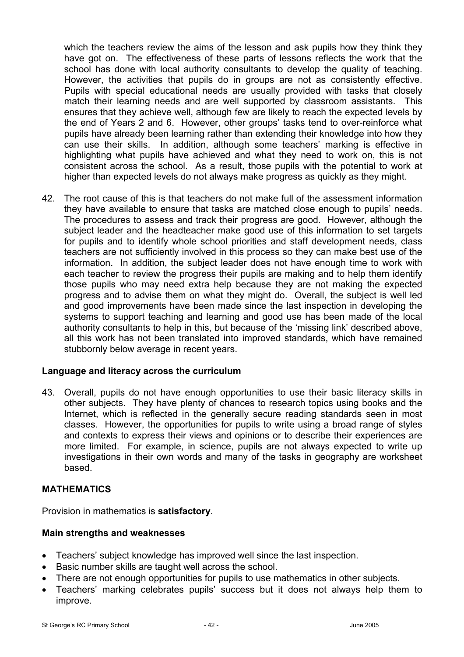which the teachers review the aims of the lesson and ask pupils how they think they have got on. The effectiveness of these parts of lessons reflects the work that the school has done with local authority consultants to develop the quality of teaching. However, the activities that pupils do in groups are not as consistently effective. Pupils with special educational needs are usually provided with tasks that closely match their learning needs and are well supported by classroom assistants. This ensures that they achieve well, although few are likely to reach the expected levels by the end of Years 2 and 6. However, other groups' tasks tend to over-reinforce what pupils have already been learning rather than extending their knowledge into how they can use their skills. In addition, although some teachers' marking is effective in highlighting what pupils have achieved and what they need to work on, this is not consistent across the school. As a result, those pupils with the potential to work at higher than expected levels do not always make progress as quickly as they might.

42. The root cause of this is that teachers do not make full of the assessment information they have available to ensure that tasks are matched close enough to pupils' needs. The procedures to assess and track their progress are good. However, although the subject leader and the headteacher make good use of this information to set targets for pupils and to identify whole school priorities and staff development needs, class teachers are not sufficiently involved in this process so they can make best use of the information. In addition, the subject leader does not have enough time to work with each teacher to review the progress their pupils are making and to help them identify those pupils who may need extra help because they are not making the expected progress and to advise them on what they might do. Overall, the subject is well led and good improvements have been made since the last inspection in developing the systems to support teaching and learning and good use has been made of the local authority consultants to help in this, but because of the 'missing link' described above, all this work has not been translated into improved standards, which have remained stubbornly below average in recent years.

## **Language and literacy across the curriculum**

43. Overall, pupils do not have enough opportunities to use their basic literacy skills in other subjects. They have plenty of chances to research topics using books and the Internet, which is reflected in the generally secure reading standards seen in most classes. However, the opportunities for pupils to write using a broad range of styles and contexts to express their views and opinions or to describe their experiences are more limited. For example, in science, pupils are not always expected to write up investigations in their own words and many of the tasks in geography are worksheet based.

# **MATHEMATICS**

Provision in mathematics is **satisfactory**.

# **Main strengths and weaknesses**

- Teachers' subject knowledge has improved well since the last inspection.
- Basic number skills are taught well across the school.
- There are not enough opportunities for pupils to use mathematics in other subjects.
- Teachers' marking celebrates pupils' success but it does not always help them to improve.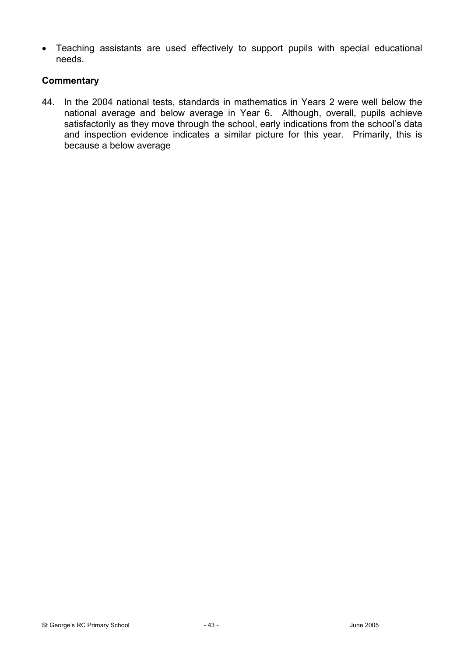• Teaching assistants are used effectively to support pupils with special educational needs.

## **Commentary**

44. In the 2004 national tests, standards in mathematics in Years 2 were well below the national average and below average in Year 6. Although, overall, pupils achieve satisfactorily as they move through the school, early indications from the school's data and inspection evidence indicates a similar picture for this year. Primarily, this is because a below average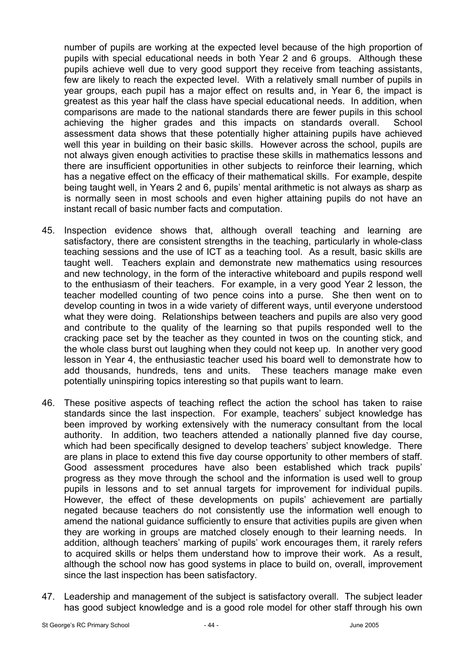number of pupils are working at the expected level because of the high proportion of pupils with special educational needs in both Year 2 and 6 groups. Although these pupils achieve well due to very good support they receive from teaching assistants, few are likely to reach the expected level. With a relatively small number of pupils in year groups, each pupil has a major effect on results and, in Year 6, the impact is greatest as this year half the class have special educational needs. In addition, when comparisons are made to the national standards there are fewer pupils in this school achieving the higher grades and this impacts on standards overall. School assessment data shows that these potentially higher attaining pupils have achieved well this year in building on their basic skills. However across the school, pupils are not always given enough activities to practise these skills in mathematics lessons and there are insufficient opportunities in other subjects to reinforce their learning, which has a negative effect on the efficacy of their mathematical skills. For example, despite being taught well, in Years 2 and 6, pupils' mental arithmetic is not always as sharp as is normally seen in most schools and even higher attaining pupils do not have an instant recall of basic number facts and computation.

- 45. Inspection evidence shows that, although overall teaching and learning are satisfactory, there are consistent strengths in the teaching, particularly in whole-class teaching sessions and the use of ICT as a teaching tool. As a result, basic skills are taught well. Teachers explain and demonstrate new mathematics using resources and new technology, in the form of the interactive whiteboard and pupils respond well to the enthusiasm of their teachers. For example, in a very good Year 2 lesson, the teacher modelled counting of two pence coins into a purse. She then went on to develop counting in twos in a wide variety of different ways, until everyone understood what they were doing. Relationships between teachers and pupils are also very good and contribute to the quality of the learning so that pupils responded well to the cracking pace set by the teacher as they counted in twos on the counting stick, and the whole class burst out laughing when they could not keep up. In another very good lesson in Year 4, the enthusiastic teacher used his board well to demonstrate how to add thousands, hundreds, tens and units. These teachers manage make even potentially uninspiring topics interesting so that pupils want to learn.
- 46. These positive aspects of teaching reflect the action the school has taken to raise standards since the last inspection. For example, teachers' subject knowledge has been improved by working extensively with the numeracy consultant from the local authority. In addition, two teachers attended a nationally planned five day course, which had been specifically designed to develop teachers' subject knowledge. There are plans in place to extend this five day course opportunity to other members of staff. Good assessment procedures have also been established which track pupils' progress as they move through the school and the information is used well to group pupils in lessons and to set annual targets for improvement for individual pupils. However, the effect of these developments on pupils' achievement are partially negated because teachers do not consistently use the information well enough to amend the national guidance sufficiently to ensure that activities pupils are given when they are working in groups are matched closely enough to their learning needs. In addition, although teachers' marking of pupils' work encourages them, it rarely refers to acquired skills or helps them understand how to improve their work. As a result, although the school now has good systems in place to build on, overall, improvement since the last inspection has been satisfactory.
- 47. Leadership and management of the subject is satisfactory overall. The subject leader has good subject knowledge and is a good role model for other staff through his own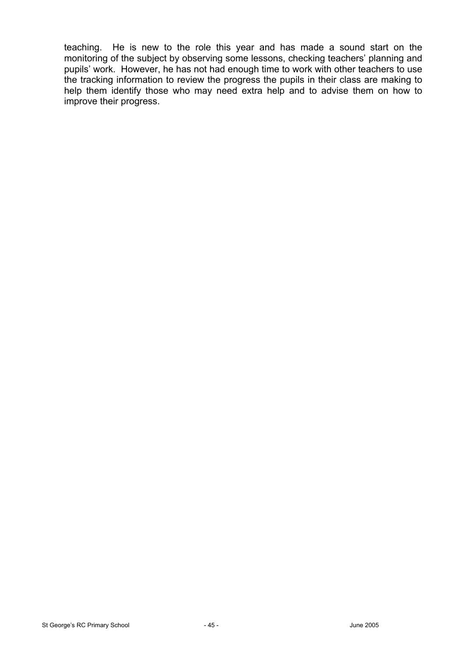teaching. He is new to the role this year and has made a sound start on the monitoring of the subject by observing some lessons, checking teachers' planning and pupils' work. However, he has not had enough time to work with other teachers to use the tracking information to review the progress the pupils in their class are making to help them identify those who may need extra help and to advise them on how to improve their progress.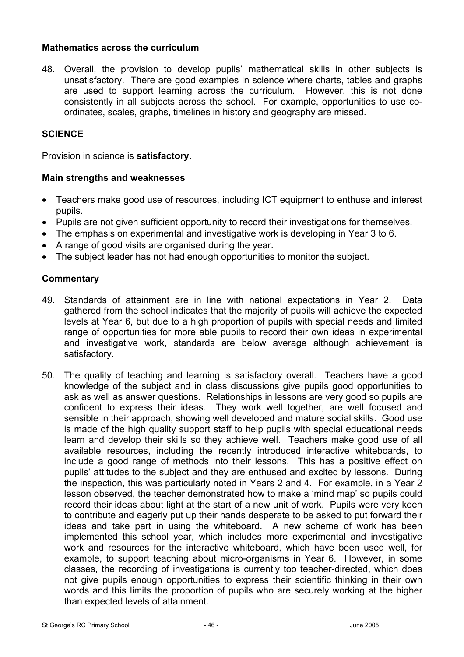## **Mathematics across the curriculum**

48. Overall, the provision to develop pupils' mathematical skills in other subjects is unsatisfactory. There are good examples in science where charts, tables and graphs are used to support learning across the curriculum. However, this is not done consistently in all subjects across the school. For example, opportunities to use coordinates, scales, graphs, timelines in history and geography are missed.

## **SCIENCE**

Provision in science is **satisfactory.**

#### **Main strengths and weaknesses**

- Teachers make good use of resources, including ICT equipment to enthuse and interest pupils.
- Pupils are not given sufficient opportunity to record their investigations for themselves.
- The emphasis on experimental and investigative work is developing in Year 3 to 6.
- A range of good visits are organised during the year.
- The subject leader has not had enough opportunities to monitor the subject.

#### **Commentary**

- 49. Standards of attainment are in line with national expectations in Year 2. Data gathered from the school indicates that the majority of pupils will achieve the expected levels at Year 6, but due to a high proportion of pupils with special needs and limited range of opportunities for more able pupils to record their own ideas in experimental and investigative work, standards are below average although achievement is satisfactory.
- 50. The quality of teaching and learning is satisfactory overall. Teachers have a good knowledge of the subject and in class discussions give pupils good opportunities to ask as well as answer questions. Relationships in lessons are very good so pupils are confident to express their ideas. They work well together, are well focused and sensible in their approach, showing well developed and mature social skills. Good use is made of the high quality support staff to help pupils with special educational needs learn and develop their skills so they achieve well. Teachers make good use of all available resources, including the recently introduced interactive whiteboards, to include a good range of methods into their lessons. This has a positive effect on pupils' attitudes to the subject and they are enthused and excited by lessons. During the inspection, this was particularly noted in Years 2 and 4. For example, in a Year 2 lesson observed, the teacher demonstrated how to make a 'mind map' so pupils could record their ideas about light at the start of a new unit of work. Pupils were very keen to contribute and eagerly put up their hands desperate to be asked to put forward their ideas and take part in using the whiteboard. A new scheme of work has been implemented this school year, which includes more experimental and investigative work and resources for the interactive whiteboard, which have been used well, for example, to support teaching about micro-organisms in Year 6. However, in some classes, the recording of investigations is currently too teacher-directed, which does not give pupils enough opportunities to express their scientific thinking in their own words and this limits the proportion of pupils who are securely working at the higher than expected levels of attainment.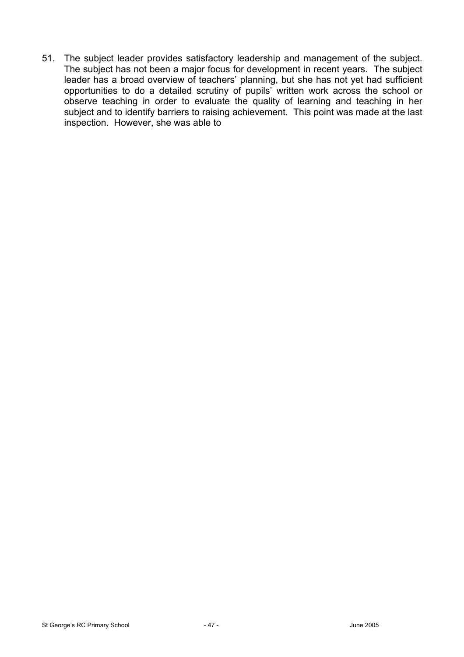51. The subject leader provides satisfactory leadership and management of the subject. The subject has not been a major focus for development in recent years. The subject leader has a broad overview of teachers' planning, but she has not yet had sufficient opportunities to do a detailed scrutiny of pupils' written work across the school or observe teaching in order to evaluate the quality of learning and teaching in her subject and to identify barriers to raising achievement. This point was made at the last inspection. However, she was able to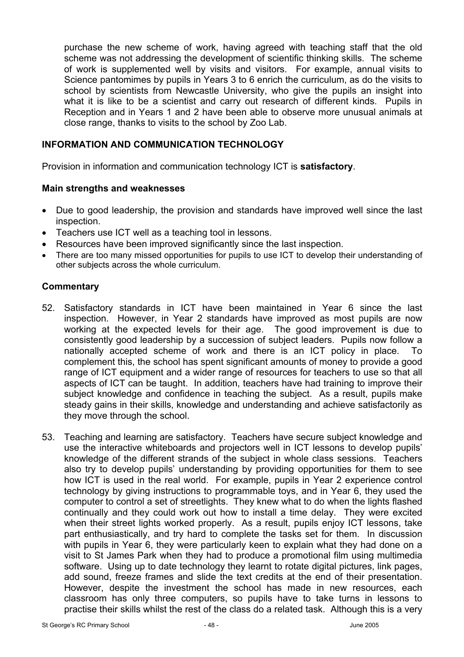purchase the new scheme of work, having agreed with teaching staff that the old scheme was not addressing the development of scientific thinking skills. The scheme of work is supplemented well by visits and visitors. For example, annual visits to Science pantomimes by pupils in Years 3 to 6 enrich the curriculum, as do the visits to school by scientists from Newcastle University, who give the pupils an insight into what it is like to be a scientist and carry out research of different kinds. Pupils in Reception and in Years 1 and 2 have been able to observe more unusual animals at close range, thanks to visits to the school by Zoo Lab.

## **INFORMATION AND COMMUNICATION TECHNOLOGY**

Provision in information and communication technology ICT is **satisfactory**.

## **Main strengths and weaknesses**

- Due to good leadership, the provision and standards have improved well since the last inspection.
- Teachers use ICT well as a teaching tool in lessons.
- Resources have been improved significantly since the last inspection.
- There are too many missed opportunities for pupils to use ICT to develop their understanding of other subjects across the whole curriculum.

## **Commentary**

- 52. Satisfactory standards in ICT have been maintained in Year 6 since the last inspection. However, in Year 2 standards have improved as most pupils are now working at the expected levels for their age. The good improvement is due to consistently good leadership by a succession of subject leaders. Pupils now follow a nationally accepted scheme of work and there is an ICT policy in place. To complement this, the school has spent significant amounts of money to provide a good range of ICT equipment and a wider range of resources for teachers to use so that all aspects of ICT can be taught. In addition, teachers have had training to improve their subject knowledge and confidence in teaching the subject. As a result, pupils make steady gains in their skills, knowledge and understanding and achieve satisfactorily as they move through the school.
- 53. Teaching and learning are satisfactory. Teachers have secure subject knowledge and use the interactive whiteboards and projectors well in ICT lessons to develop pupils' knowledge of the different strands of the subject in whole class sessions. Teachers also try to develop pupils' understanding by providing opportunities for them to see how ICT is used in the real world. For example, pupils in Year 2 experience control technology by giving instructions to programmable toys, and in Year 6, they used the computer to control a set of streetlights. They knew what to do when the lights flashed continually and they could work out how to install a time delay. They were excited when their street lights worked properly. As a result, pupils enjoy ICT lessons, take part enthusiastically, and try hard to complete the tasks set for them. In discussion with pupils in Year 6, they were particularly keen to explain what they had done on a visit to St James Park when they had to produce a promotional film using multimedia software. Using up to date technology they learnt to rotate digital pictures, link pages, add sound, freeze frames and slide the text credits at the end of their presentation. However, despite the investment the school has made in new resources, each classroom has only three computers, so pupils have to take turns in lessons to practise their skills whilst the rest of the class do a related task. Although this is a very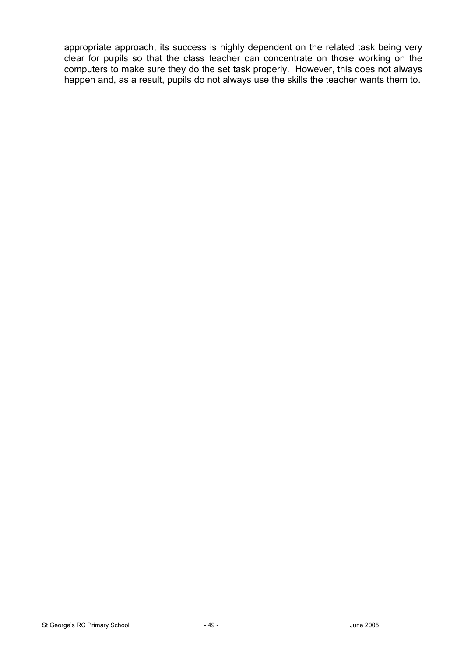appropriate approach, its success is highly dependent on the related task being very clear for pupils so that the class teacher can concentrate on those working on the computers to make sure they do the set task properly. However, this does not always happen and, as a result, pupils do not always use the skills the teacher wants them to.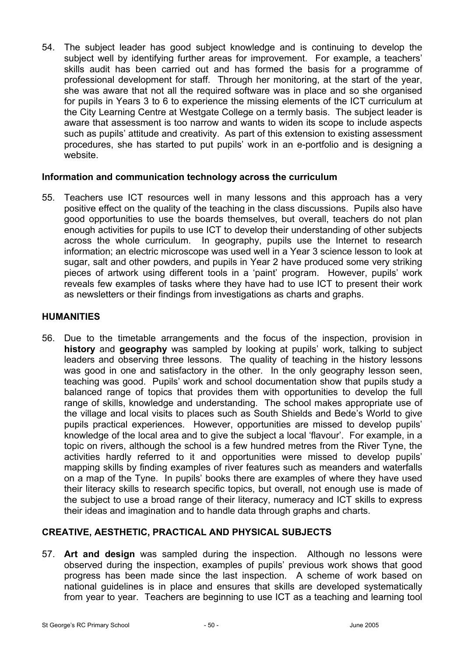54. The subject leader has good subject knowledge and is continuing to develop the subject well by identifying further areas for improvement. For example, a teachers' skills audit has been carried out and has formed the basis for a programme of professional development for staff. Through her monitoring, at the start of the year, she was aware that not all the required software was in place and so she organised for pupils in Years 3 to 6 to experience the missing elements of the ICT curriculum at the City Learning Centre at Westgate College on a termly basis. The subject leader is aware that assessment is too narrow and wants to widen its scope to include aspects such as pupils' attitude and creativity. As part of this extension to existing assessment procedures, she has started to put pupils' work in an e-portfolio and is designing a website.

## **Information and communication technology across the curriculum**

55. Teachers use ICT resources well in many lessons and this approach has a very positive effect on the quality of the teaching in the class discussions. Pupils also have good opportunities to use the boards themselves, but overall, teachers do not plan enough activities for pupils to use ICT to develop their understanding of other subjects across the whole curriculum. In geography, pupils use the Internet to research information; an electric microscope was used well in a Year 3 science lesson to look at sugar, salt and other powders, and pupils in Year 2 have produced some very striking pieces of artwork using different tools in a 'paint' program. However, pupils' work reveals few examples of tasks where they have had to use ICT to present their work as newsletters or their findings from investigations as charts and graphs.

## **HUMANITIES**

56. Due to the timetable arrangements and the focus of the inspection, provision in **history** and **geography** was sampled by looking at pupils' work, talking to subject leaders and observing three lessons. The quality of teaching in the history lessons was good in one and satisfactory in the other. In the only geography lesson seen, teaching was good. Pupils' work and school documentation show that pupils study a balanced range of topics that provides them with opportunities to develop the full range of skills, knowledge and understanding. The school makes appropriate use of the village and local visits to places such as South Shields and Bede's World to give pupils practical experiences. However, opportunities are missed to develop pupils' knowledge of the local area and to give the subject a local 'flavour'. For example, in a topic on rivers, although the school is a few hundred metres from the River Tyne, the activities hardly referred to it and opportunities were missed to develop pupils' mapping skills by finding examples of river features such as meanders and waterfalls on a map of the Tyne. In pupils' books there are examples of where they have used their literacy skills to research specific topics, but overall, not enough use is made of the subject to use a broad range of their literacy, numeracy and ICT skills to express their ideas and imagination and to handle data through graphs and charts.

# **CREATIVE, AESTHETIC, PRACTICAL AND PHYSICAL SUBJECTS**

57. **Art and design** was sampled during the inspection. Although no lessons were observed during the inspection, examples of pupils' previous work shows that good progress has been made since the last inspection. A scheme of work based on national guidelines is in place and ensures that skills are developed systematically from year to year. Teachers are beginning to use ICT as a teaching and learning tool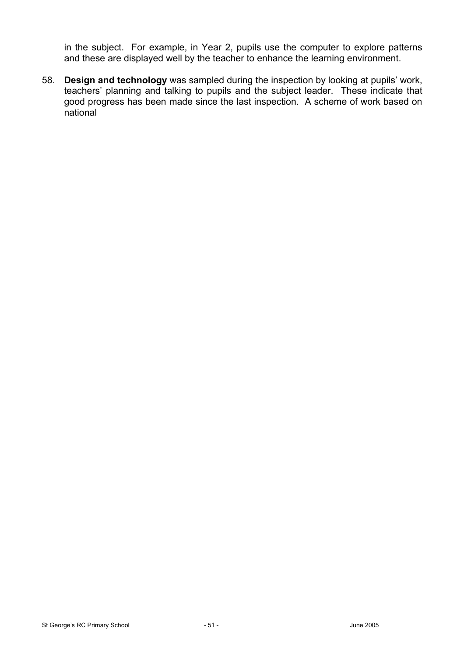in the subject. For example, in Year 2, pupils use the computer to explore patterns and these are displayed well by the teacher to enhance the learning environment.

58. **Design and technology** was sampled during the inspection by looking at pupils' work, teachers' planning and talking to pupils and the subject leader. These indicate that good progress has been made since the last inspection. A scheme of work based on national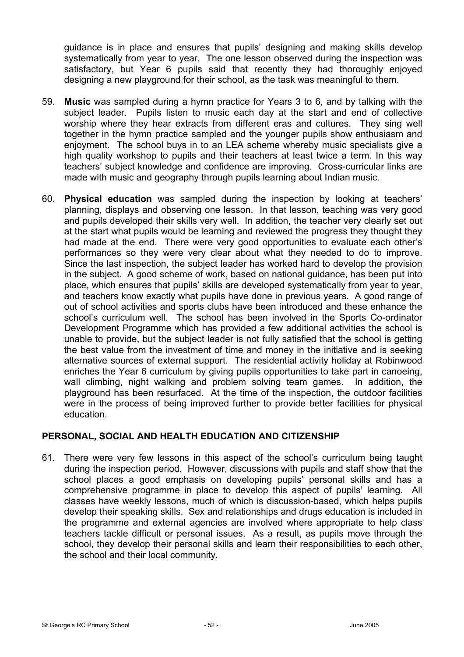guidance is in place and ensures that pupils' designing and making skills develop systematically from year to year. The one lesson observed during the inspection was satisfactory, but Year 6 pupils said that recently they had thoroughly enjoyed designing a new playground for their school, as the task was meaningful to them.

- 59. **Music** was sampled during a hymn practice for Years 3 to 6, and by talking with the subject leader. Pupils listen to music each day at the start and end of collective worship where they hear extracts from different eras and cultures. They sing well together in the hymn practice sampled and the younger pupils show enthusiasm and enjoyment. The school buys in to an LEA scheme whereby music specialists give a high quality workshop to pupils and their teachers at least twice a term. In this way teachers' subject knowledge and confidence are improving. Cross-curricular links are made with music and geography through pupils learning about Indian music.
- 60. **Physical education** was sampled during the inspection by looking at teachers' planning, displays and observing one lesson. In that lesson, teaching was very good and pupils developed their skills very well. In addition, the teacher very clearly set out at the start what pupils would be learning and reviewed the progress they thought they had made at the end. There were very good opportunities to evaluate each other's performances so they were very clear about what they needed to do to improve. Since the last inspection, the subject leader has worked hard to develop the provision in the subject. A good scheme of work, based on national guidance, has been put into place, which ensures that pupils' skills are developed systematically from year to year, and teachers know exactly what pupils have done in previous years. A good range of out of school activities and sports clubs have been introduced and these enhance the school's curriculum well. The school has been involved in the Sports Co-ordinator Development Programme which has provided a few additional activities the school is unable to provide, but the subject leader is not fully satisfied that the school is getting the best value from the investment of time and money in the initiative and is seeking alternative sources of external support. The residential activity holiday at Robinwood enriches the Year 6 curriculum by giving pupils opportunities to take part in canoeing, wall climbing, night walking and problem solving team games. In addition, the playground has been resurfaced. At the time of the inspection, the outdoor facilities were in the process of being improved further to provide better facilities for physical education.

## **PERSONAL, SOCIAL AND HEALTH EDUCATION AND CITIZENSHIP**

61. There were very few lessons in this aspect of the school's curriculum being taught during the inspection period. However, discussions with pupils and staff show that the school places a good emphasis on developing pupils' personal skills and has a comprehensive programme in place to develop this aspect of pupils' learning. All classes have weekly lessons, much of which is discussion-based, which helps pupils develop their speaking skills. Sex and relationships and drugs education is included in the programme and external agencies are involved where appropriate to help class teachers tackle difficult or personal issues. As a result, as pupils move through the school, they develop their personal skills and learn their responsibilities to each other, the school and their local community.